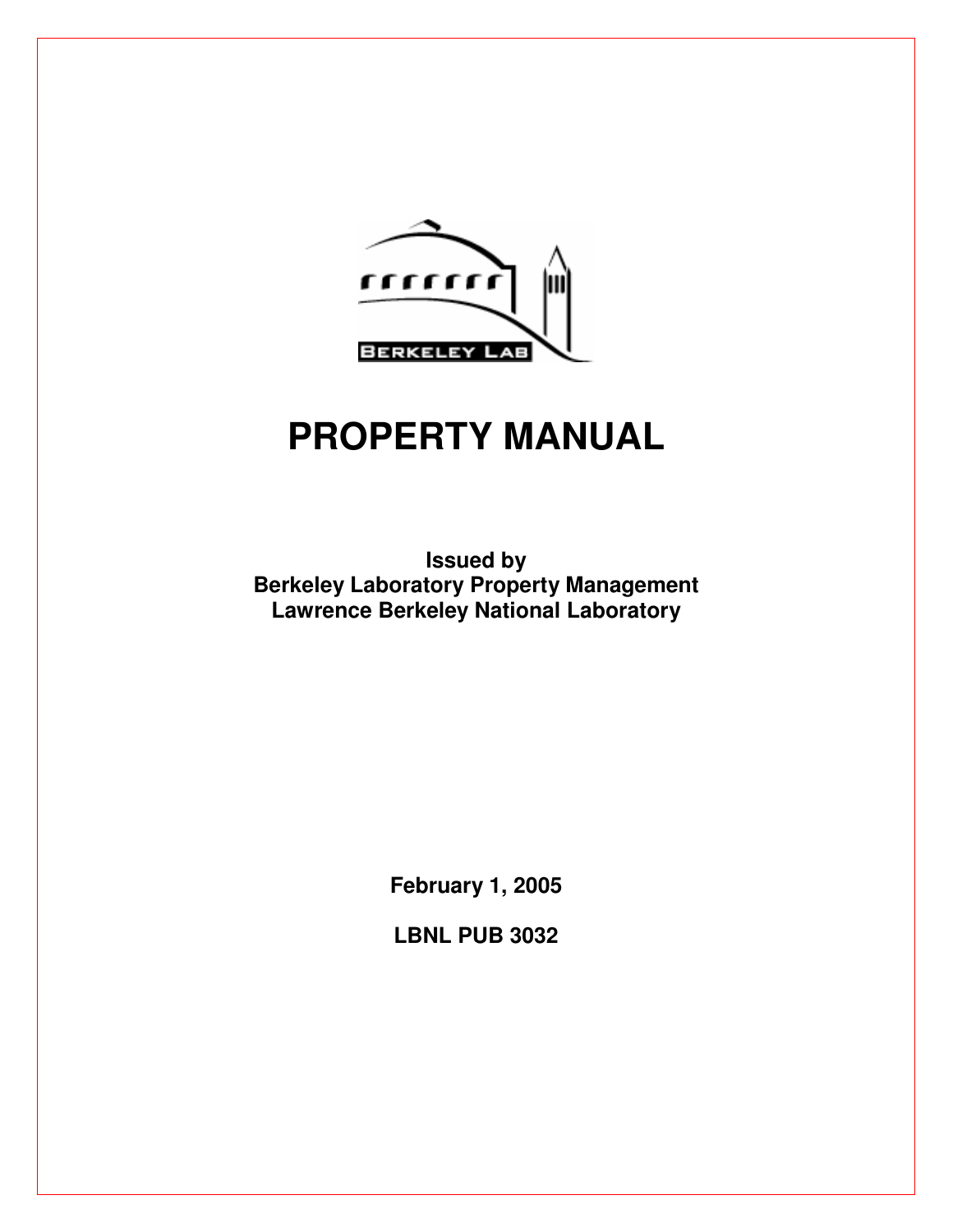

# **PROPERTY MANUAL**

**Issued by Berkeley Laboratory Property Management Lawrence Berkeley National Laboratory** 

**February 1, 2005** 

**LBNL PUB 3032**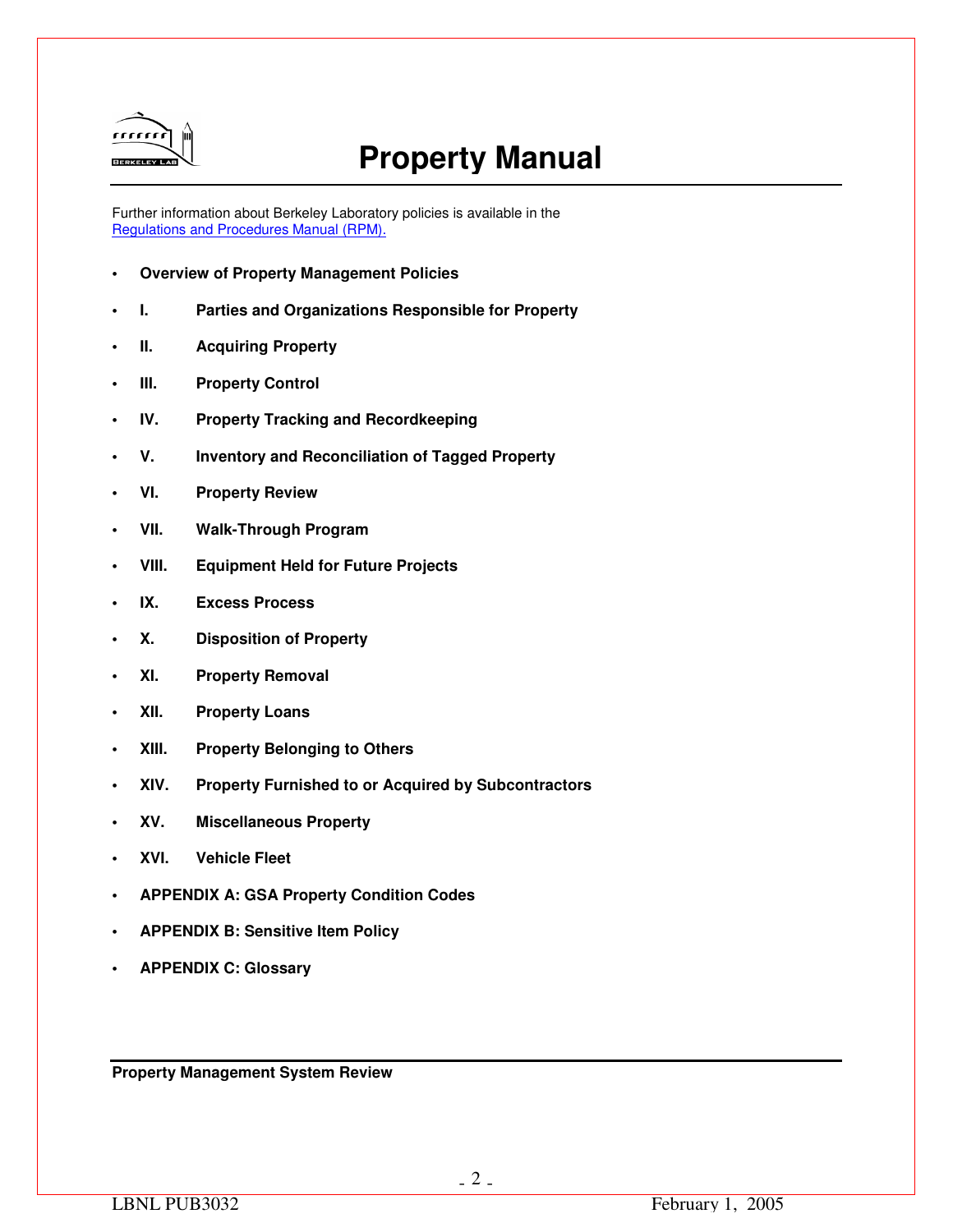

## **Property Manual**

Further information about Berkeley Laboratory policies is available in the Regulations and Procedures Manual (RPM).

- **Overview of Property Management Policies**
- **I. Parties and Organizations Responsible for Property**
- **II.** Acquiring Property
- **III.** Property Control
- **IV. Property Tracking and Recordkeeping**
- **V. Inventory and Reconciliation of Tagged Property**
- **VI. Property Review**
- **VII. Walk-Through Program**
- **VIII. Equipment Held for Future Projects**
- **IX. Excess Process**
- **X. Disposition of Property**
- **XI. Property Removal**
- **XII. Property Loans**
- **XIII. Property Belonging to Others**
- **XIV. Property Furnished to or Acquired by Subcontractors**
- **XV. Miscellaneous Property**
- **XVI. Vehicle Fleet**
- **APPENDIX A: GSA Property Condition Codes**
- **APPENDIX B: Sensitive Item Policy**
- **APPENDIX C: Glossary**

**Property Management System Review**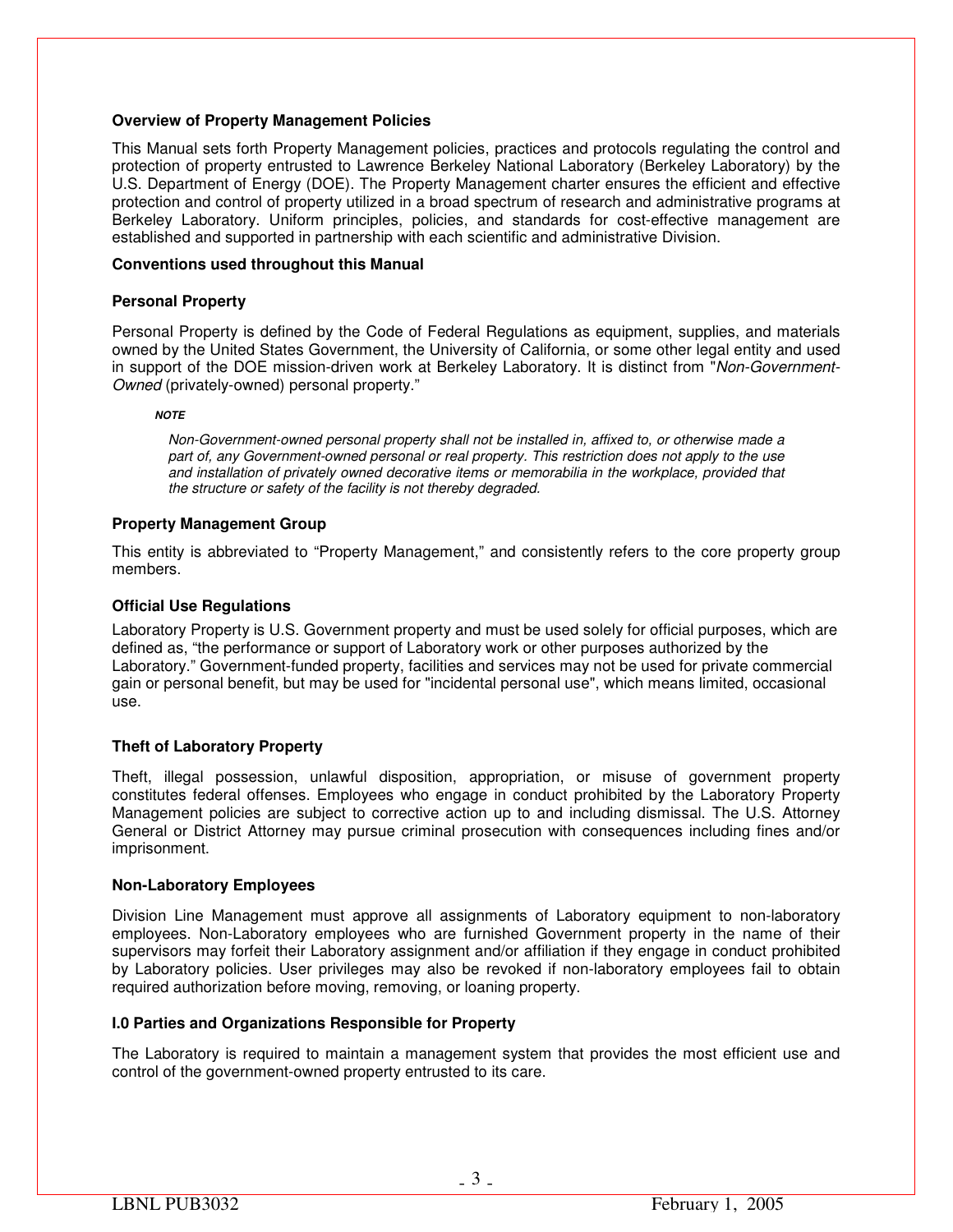## **Overview of Property Management Policies**

This Manual sets forth Property Management policies, practices and protocols regulating the control and protection of property entrusted to Lawrence Berkeley National Laboratory (Berkeley Laboratory) by the U.S. Department of Energy (DOE). The Property Management charter ensures the efficient and effective protection and control of property utilized in a broad spectrum of research and administrative programs at Berkeley Laboratory. Uniform principles, policies, and standards for cost-effective management are established and supported in partnership with each scientific and administrative Division.

## **Conventions used throughout this Manual**

## **Personal Property**

Personal Property is defined by the Code of Federal Regulations as equipment, supplies, and materials owned by the United States Government, the University of California, or some other legal entity and used in support of the DOE mission-driven work at Berkeley Laboratory. It is distinct from "*Non-Government-Owned* (privately-owned) personal property."

#### *NOTE*

*Non-Government-owned personal property shall not be installed in, affixed to, or otherwise made a part of, any Government-owned personal or real property. This restriction does not apply to the use and installation of privately owned decorative items or memorabilia in the workplace, provided that the structure or safety of the facility is not thereby degraded.* 

## **Property Management Group**

This entity is abbreviated to "Property Management," and consistently refers to the core property group members.

## **Official Use Regulations**

Laboratory Property is U.S. Government property and must be used solely for official purposes, which are defined as, "the performance or support of Laboratory work or other purposes authorized by the Laboratory." Government-funded property, facilities and services may not be used for private commercial gain or personal benefit, but may be used for "incidental personal use", which means limited, occasional use.

## **Theft of Laboratory Property**

Theft, illegal possession, unlawful disposition, appropriation, or misuse of government property constitutes federal offenses. Employees who engage in conduct prohibited by the Laboratory Property Management policies are subject to corrective action up to and including dismissal. The U.S. Attorney General or District Attorney may pursue criminal prosecution with consequences including fines and/or imprisonment.

## **Non-Laboratory Employees**

Division Line Management must approve all assignments of Laboratory equipment to non-laboratory employees. Non-Laboratory employees who are furnished Government property in the name of their supervisors may forfeit their Laboratory assignment and/or affiliation if they engage in conduct prohibited by Laboratory policies. User privileges may also be revoked if non-laboratory employees fail to obtain required authorization before moving, removing, or loaning property.

## **I.0 Parties and Organizations Responsible for Property**

The Laboratory is required to maintain a management system that provides the most efficient use and control of the government-owned property entrusted to its care.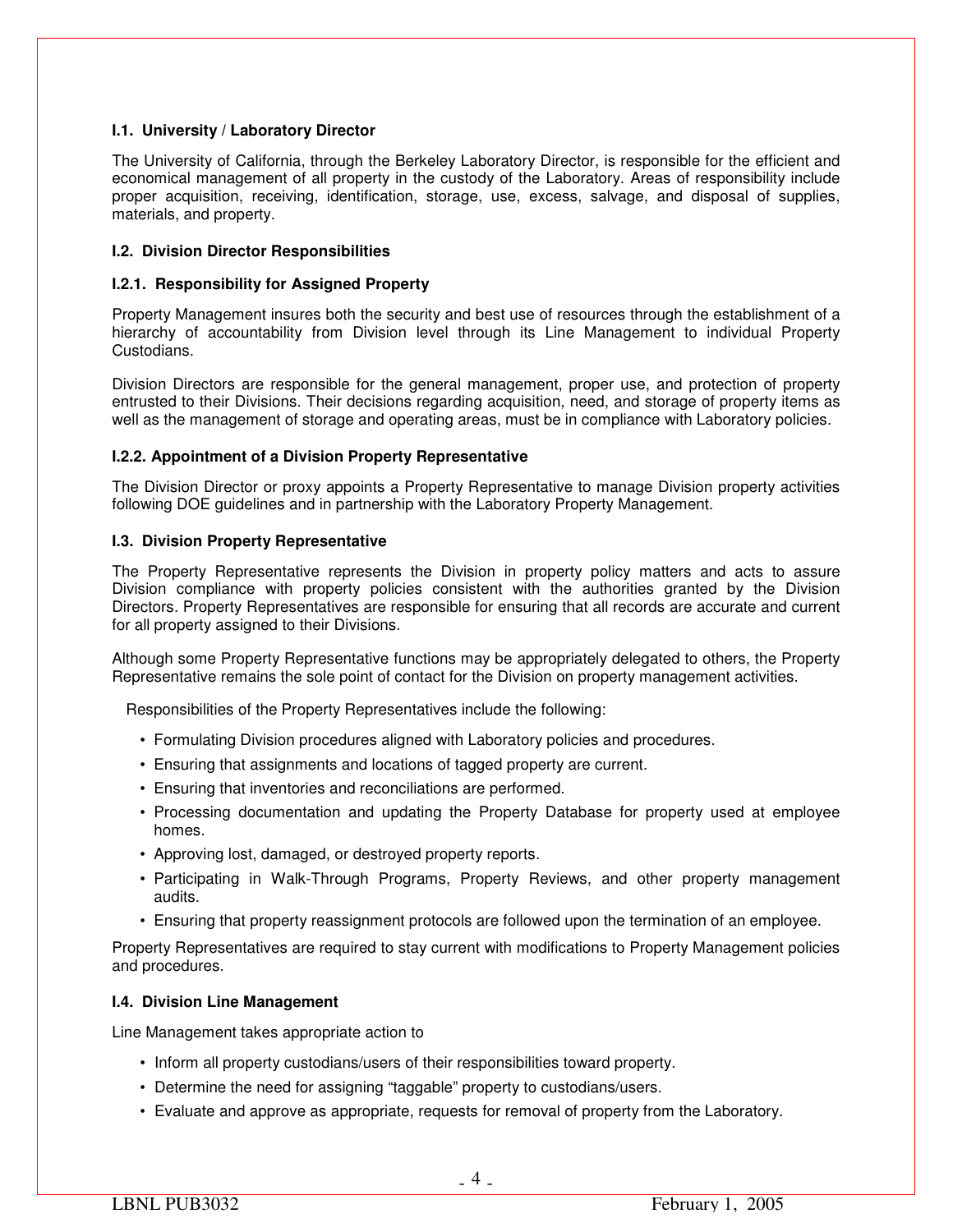## **I.1. University / Laboratory Director**

The University of California, through the Berkeley Laboratory Director, is responsible for the efficient and economical management of all property in the custody of the Laboratory. Areas of responsibility include proper acquisition, receiving, identification, storage, use, excess, salvage, and disposal of supplies, materials, and property.

## **I.2. Division Director Responsibilities**

## **I.2.1. Responsibility for Assigned Property**

Property Management insures both the security and best use of resources through the establishment of a hierarchy of accountability from Division level through its Line Management to individual Property Custodians.

Division Directors are responsible for the general management, proper use, and protection of property entrusted to their Divisions. Their decisions regarding acquisition, need, and storage of property items as well as the management of storage and operating areas, must be in compliance with Laboratory policies.

## **I.2.2. Appointment of a Division Property Representative**

The Division Director or proxy appoints a Property Representative to manage Division property activities following DOE guidelines and in partnership with the Laboratory Property Management.

## **I.3. Division Property Representative**

The Property Representative represents the Division in property policy matters and acts to assure Division compliance with property policies consistent with the authorities granted by the Division Directors. Property Representatives are responsible for ensuring that all records are accurate and current for all property assigned to their Divisions.

Although some Property Representative functions may be appropriately delegated to others, the Property Representative remains the sole point of contact for the Division on property management activities.

Responsibilities of the Property Representatives include the following:

- Formulating Division procedures aligned with Laboratory policies and procedures.
- Ensuring that assignments and locations of tagged property are current.
- Ensuring that inventories and reconciliations are performed.
- Processing documentation and updating the Property Database for property used at employee homes.
- Approving lost, damaged, or destroyed property reports.
- Participating in Walk-Through Programs, Property Reviews, and other property management audits.
- Ensuring that property reassignment protocols are followed upon the termination of an employee.

Property Representatives are required to stay current with modifications to Property Management policies and procedures.

## **I.4. Division Line Management**

Line Management takes appropriate action to

- Inform all property custodians/users of their responsibilities toward property.
- Determine the need for assigning "taggable" property to custodians/users.
- Evaluate and approve as appropriate, requests for removal of property from the Laboratory.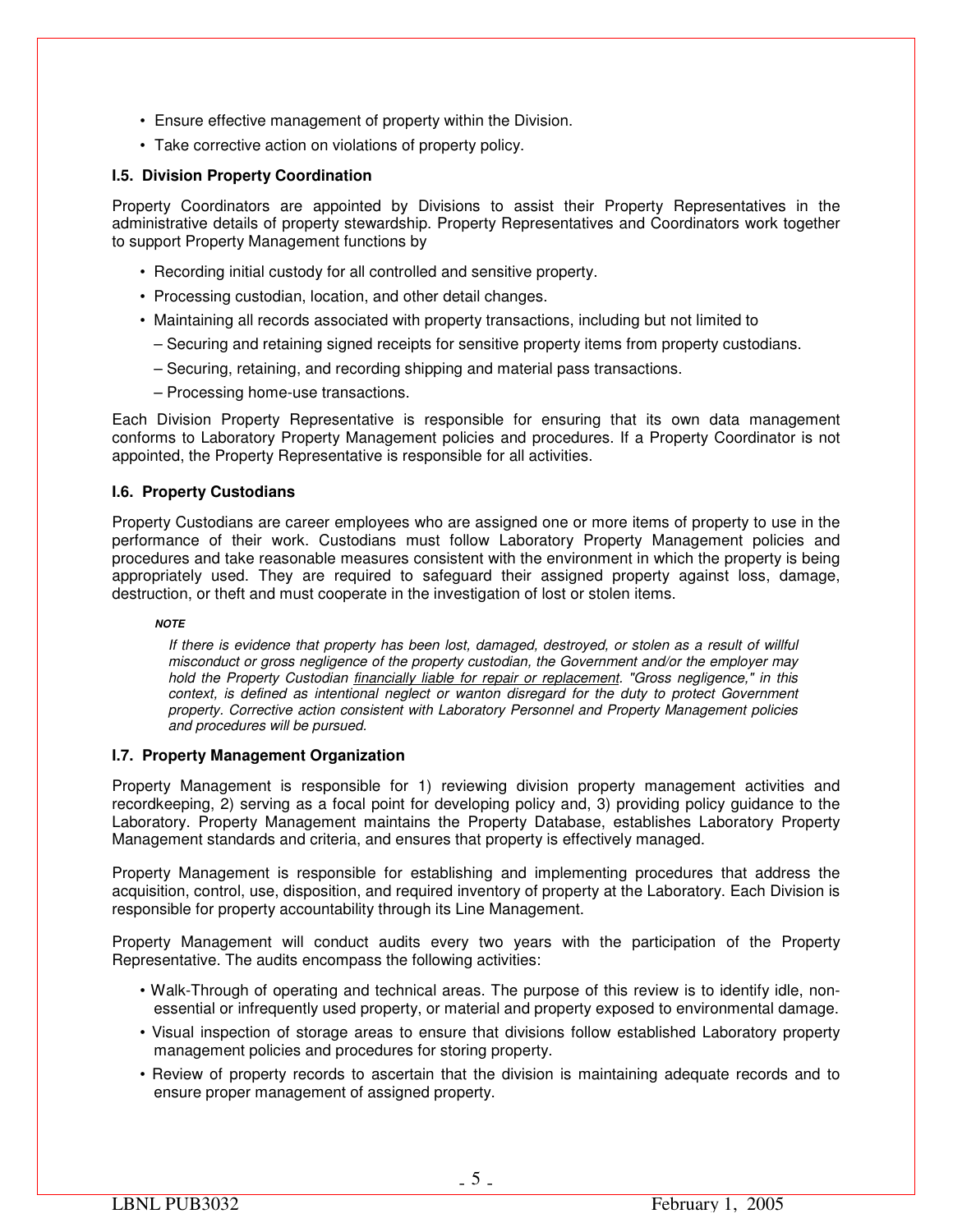- Ensure effective management of property within the Division.
- Take corrective action on violations of property policy.

## **I.5. Division Property Coordination**

Property Coordinators are appointed by Divisions to assist their Property Representatives in the administrative details of property stewardship. Property Representatives and Coordinators work together to support Property Management functions by

- Recording initial custody for all controlled and sensitive property.
- Processing custodian, location, and other detail changes.
- Maintaining all records associated with property transactions, including but not limited to
	- Securing and retaining signed receipts for sensitive property items from property custodians.
	- Securing, retaining, and recording shipping and material pass transactions.
	- Processing home-use transactions.

Each Division Property Representative is responsible for ensuring that its own data management conforms to Laboratory Property Management policies and procedures. If a Property Coordinator is not appointed, the Property Representative is responsible for all activities.

## **I.6. Property Custodians**

Property Custodians are career employees who are assigned one or more items of property to use in the performance of their work. Custodians must follow Laboratory Property Management policies and procedures and take reasonable measures consistent with the environment in which the property is being appropriately used. They are required to safeguard their assigned property against loss, damage, destruction, or theft and must cooperate in the investigation of lost or stolen items.

#### *NOTE*

*If there is evidence that property has been lost, damaged, destroyed, or stolen as a result of willful misconduct or gross negligence of the property custodian, the Government and/or the employer may hold the Property Custodian financially liable for repair or replacement. "Gross negligence," in this context, is defined as intentional neglect or wanton disregard for the duty to protect Government property. Corrective action consistent with Laboratory Personnel and Property Management policies and procedures will be pursued.*

## **I.7. Property Management Organization**

Property Management is responsible for 1) reviewing division property management activities and recordkeeping, 2) serving as a focal point for developing policy and, 3) providing policy guidance to the Laboratory. Property Management maintains the Property Database, establishes Laboratory Property Management standards and criteria, and ensures that property is effectively managed.

Property Management is responsible for establishing and implementing procedures that address the acquisition, control, use, disposition, and required inventory of property at the Laboratory. Each Division is responsible for property accountability through its Line Management.

Property Management will conduct audits every two years with the participation of the Property Representative. The audits encompass the following activities:

- Walk-Through of operating and technical areas. The purpose of this review is to identify idle, nonessential or infrequently used property, or material and property exposed to environmental damage.
- Visual inspection of storage areas to ensure that divisions follow established Laboratory property management policies and procedures for storing property.
- Review of property records to ascertain that the division is maintaining adequate records and to ensure proper management of assigned property.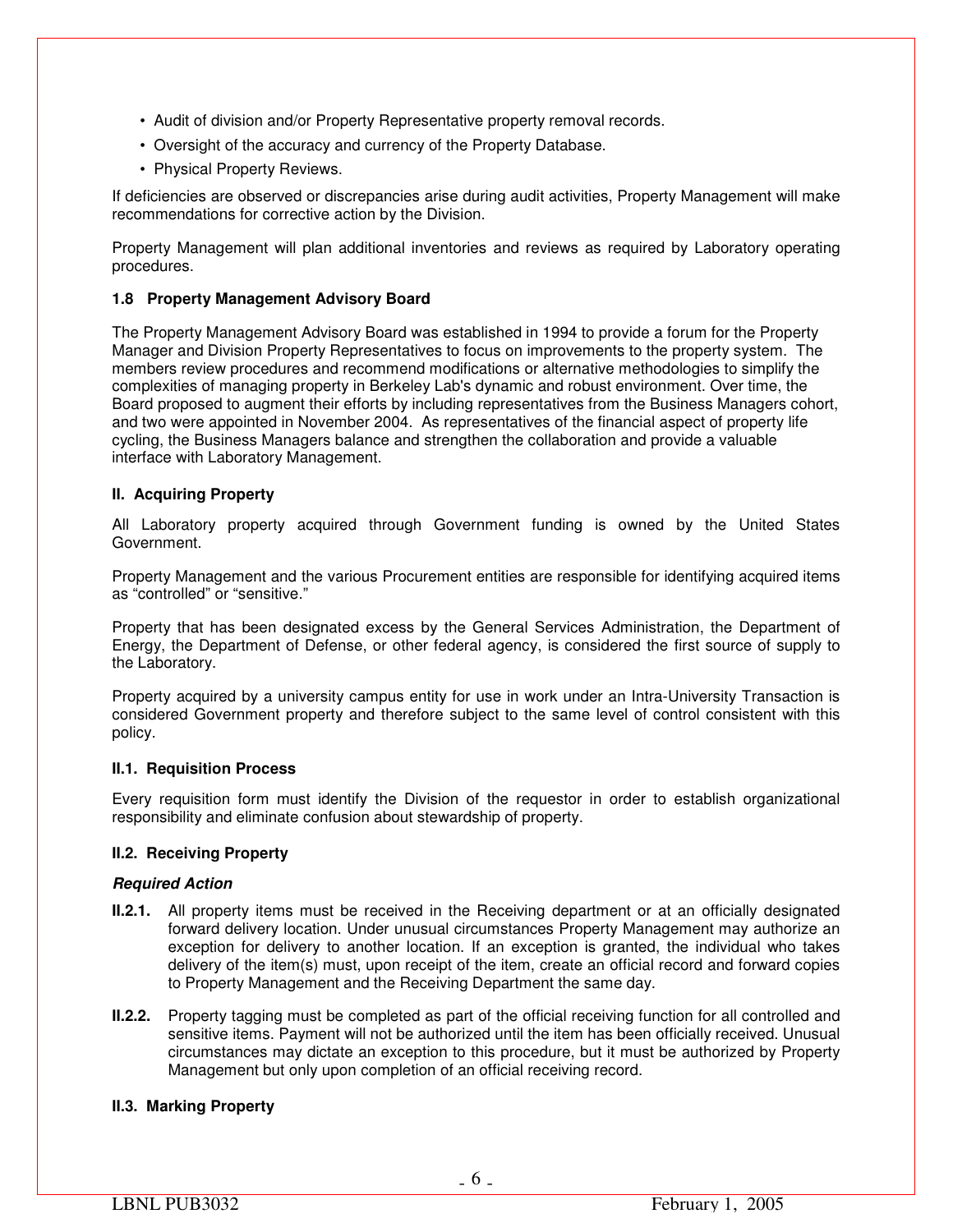- Audit of division and/or Property Representative property removal records.
- Oversight of the accuracy and currency of the Property Database.
- Physical Property Reviews.

If deficiencies are observed or discrepancies arise during audit activities, Property Management will make recommendations for corrective action by the Division.

Property Management will plan additional inventories and reviews as required by Laboratory operating procedures.

## **1.8 Property Management Advisory Board**

The Property Management Advisory Board was established in 1994 to provide a forum for the Property Manager and Division Property Representatives to focus on improvements to the property system. The members review procedures and recommend modifications or alternative methodologies to simplify the complexities of managing property in Berkeley Lab's dynamic and robust environment. Over time, the Board proposed to augment their efforts by including representatives from the Business Managers cohort, and two were appointed in November 2004. As representatives of the financial aspect of property life cycling, the Business Managers balance and strengthen the collaboration and provide a valuable interface with Laboratory Management.

## **II. Acquiring Property**

All Laboratory property acquired through Government funding is owned by the United States Government.

Property Management and the various Procurement entities are responsible for identifying acquired items as "controlled" or "sensitive."

Property that has been designated excess by the General Services Administration, the Department of Energy, the Department of Defense, or other federal agency, is considered the first source of supply to the Laboratory.

Property acquired by a university campus entity for use in work under an Intra-University Transaction is considered Government property and therefore subject to the same level of control consistent with this policy.

## **II.1. Requisition Process**

Every requisition form must identify the Division of the requestor in order to establish organizational responsibility and eliminate confusion about stewardship of property.

## **II.2. Receiving Property**

## *Required Action*

- **II.2.1.** All property items must be received in the Receiving department or at an officially designated forward delivery location. Under unusual circumstances Property Management may authorize an exception for delivery to another location. If an exception is granted, the individual who takes delivery of the item(s) must, upon receipt of the item, create an official record and forward copies to Property Management and the Receiving Department the same day.
- **II.2.2.** Property tagging must be completed as part of the official receiving function for all controlled and sensitive items. Payment will not be authorized until the item has been officially received. Unusual circumstances may dictate an exception to this procedure, but it must be authorized by Property Management but only upon completion of an official receiving record.

## **II.3. Marking Property**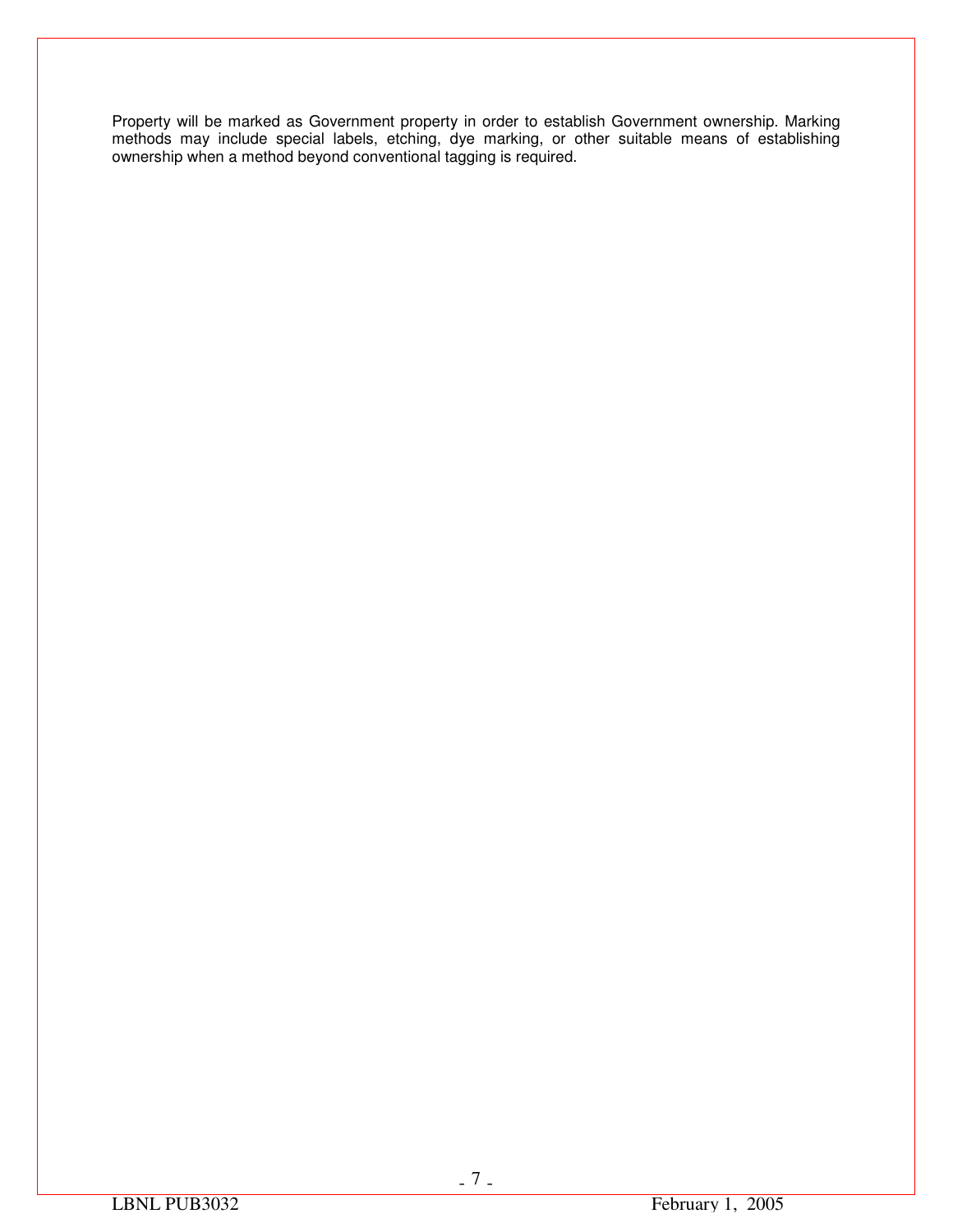Property will be marked as Government property in order to establish Government ownership. Marking methods may include special labels, etching, dye marking, or other suitable means of establishing ownership when a method beyond conventional tagging is required.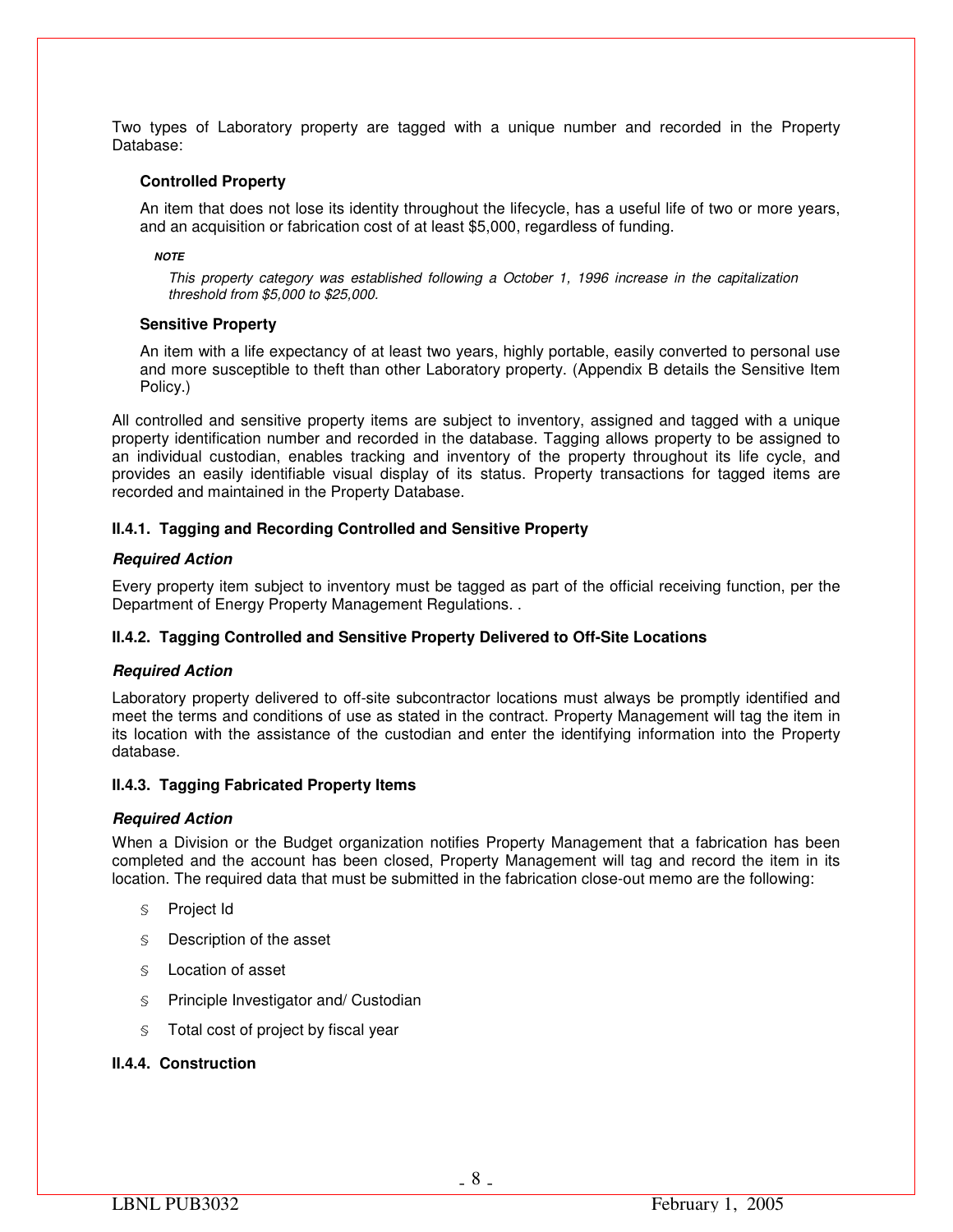Two types of Laboratory property are tagged with a unique number and recorded in the Property Database:

#### **Controlled Property**

An item that does not lose its identity throughout the lifecycle, has a useful life of two or more years, and an acquisition or fabrication cost of at least \$5,000, regardless of funding.

#### *NOTE*

*This property category was established following a October 1, 1996 increase in the capitalization threshold from \$5,000 to \$25,000.*

#### **Sensitive Property**

An item with a life expectancy of at least two years, highly portable, easily converted to personal use and more susceptible to theft than other Laboratory property. (Appendix B details the Sensitive Item Policy.)

All controlled and sensitive property items are subject to inventory, assigned and tagged with a unique property identification number and recorded in the database. Tagging allows property to be assigned to an individual custodian, enables tracking and inventory of the property throughout its life cycle, and provides an easily identifiable visual display of its status. Property transactions for tagged items are recorded and maintained in the Property Database.

## **II.4.1. Tagging and Recording Controlled and Sensitive Property**

#### *Required Action*

Every property item subject to inventory must be tagged as part of the official receiving function, per the Department of Energy Property Management Regulations. .

## **II.4.2. Tagging Controlled and Sensitive Property Delivered to Off-Site Locations**

## *Required Action*

Laboratory property delivered to off-site subcontractor locations must always be promptly identified and meet the terms and conditions of use as stated in the contract. Property Management will tag the item in its location with the assistance of the custodian and enter the identifying information into the Property database.

## **II.4.3. Tagging Fabricated Property Items**

## *Required Action*

When a Division or the Budget organization notifies Property Management that a fabrication has been completed and the account has been closed, Property Management will tag and record the item in its location. The required data that must be submitted in the fabrication close-out memo are the following:

- § Project Id
- § Description of the asset
- § Location of asset
- § Principle Investigator and/ Custodian
- § Total cost of project by fiscal year

## **II.4.4. Construction**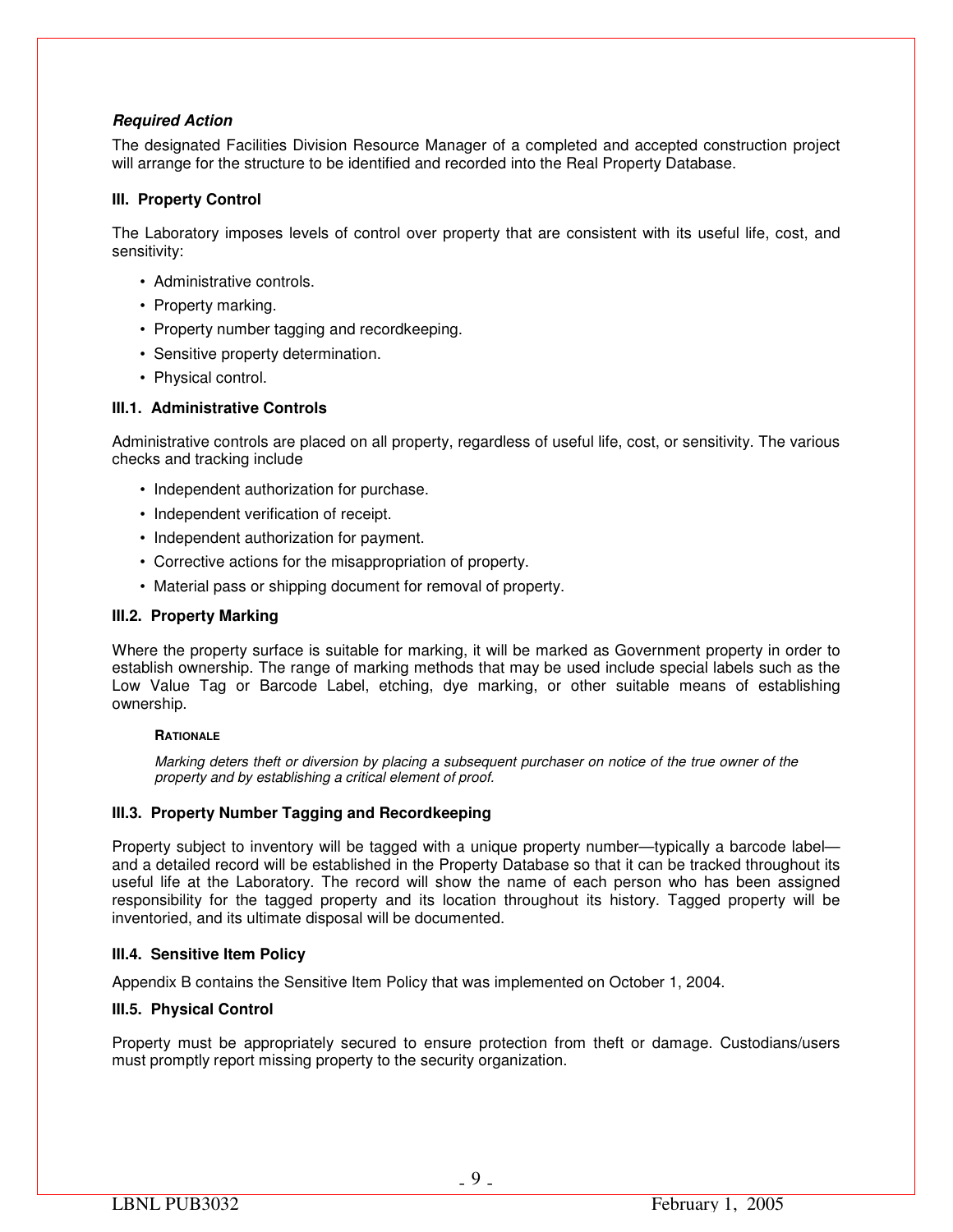## *Required Action*

The designated Facilities Division Resource Manager of a completed and accepted construction project will arrange for the structure to be identified and recorded into the Real Property Database.

## **III. Property Control**

The Laboratory imposes levels of control over property that are consistent with its useful life, cost, and sensitivity:

- Administrative controls.
- Property marking.
- Property number tagging and recordkeeping.
- Sensitive property determination.
- Physical control.

## **III.1. Administrative Controls**

Administrative controls are placed on all property, regardless of useful life, cost, or sensitivity. The various checks and tracking include

- Independent authorization for purchase.
- Independent verification of receipt.
- Independent authorization for payment.
- Corrective actions for the misappropriation of property.
- Material pass or shipping document for removal of property.

## **III.2. Property Marking**

Where the property surface is suitable for marking, it will be marked as Government property in order to establish ownership. The range of marking methods that may be used include special labels such as the Low Value Tag or Barcode Label, etching, dye marking, or other suitable means of establishing ownership.

## **RATIONALE**

*Marking deters theft or diversion by placing a subsequent purchaser on notice of the true owner of the property and by establishing a critical element of proof.* 

## **III.3. Property Number Tagging and Recordkeeping**

Property subject to inventory will be tagged with a unique property number—typically a barcode label and a detailed record will be established in the Property Database so that it can be tracked throughout its useful life at the Laboratory. The record will show the name of each person who has been assigned responsibility for the tagged property and its location throughout its history. Tagged property will be inventoried, and its ultimate disposal will be documented.

## **III.4. Sensitive Item Policy**

Appendix B contains the Sensitive Item Policy that was implemented on October 1, 2004.

## **III.5. Physical Control**

Property must be appropriately secured to ensure protection from theft or damage. Custodians/users must promptly report missing property to the security organization.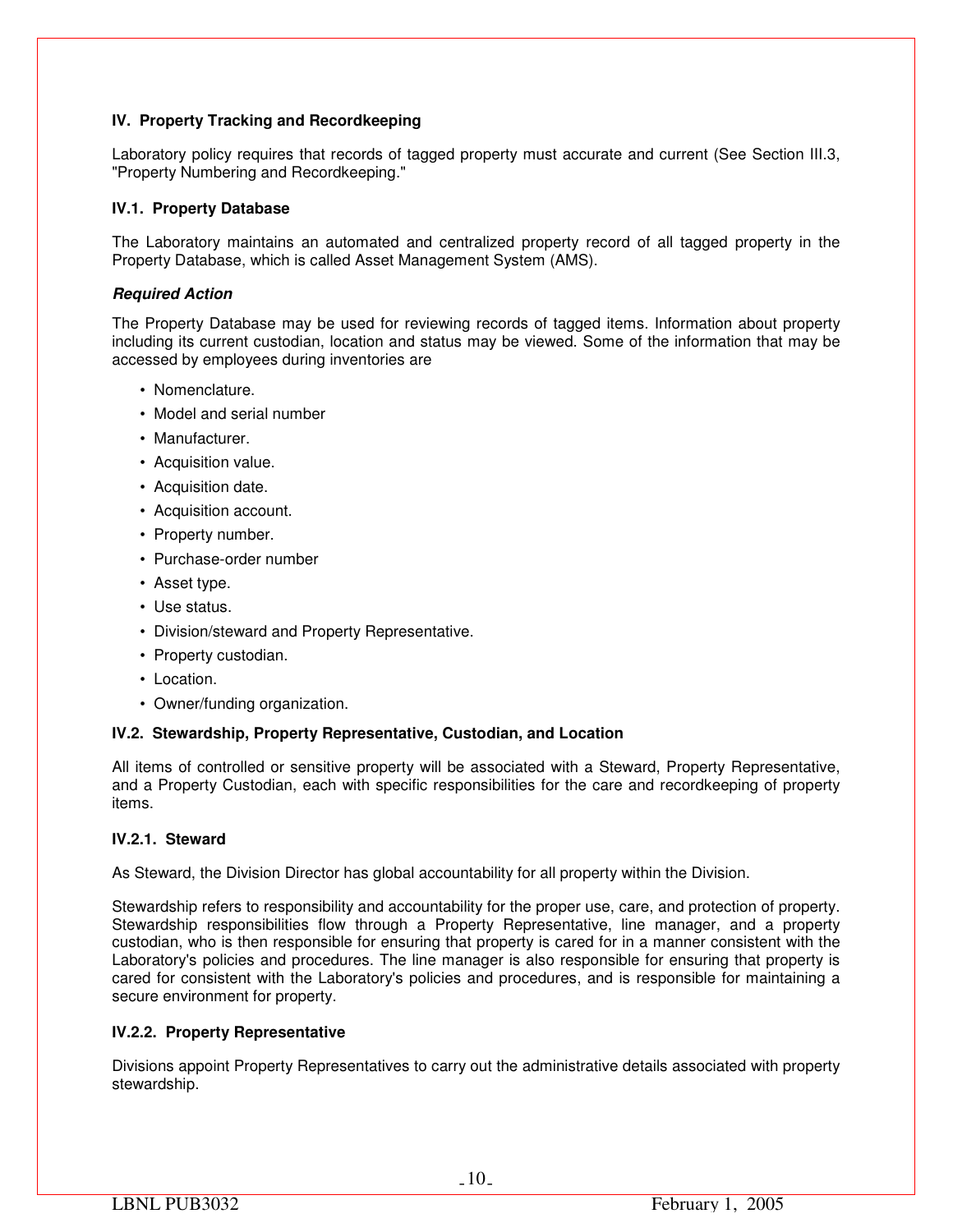## **IV. Property Tracking and Recordkeeping**

Laboratory policy requires that records of tagged property must accurate and current (See Section III.3, "Property Numbering and Recordkeeping."

## **IV.1. Property Database**

The Laboratory maintains an automated and centralized property record of all tagged property in the Property Database, which is called Asset Management System (AMS).

## *Required Action*

The Property Database may be used for reviewing records of tagged items. Information about property including its current custodian, location and status may be viewed. Some of the information that may be accessed by employees during inventories are

- Nomenclature.
- Model and serial number
- Manufacturer.
- Acquisition value.
- Acquisition date.
- Acquisition account.
- Property number.
- Purchase-order number
- Asset type.
- Use status.
- Division/steward and Property Representative.
- Property custodian.
- Location.
- Owner/funding organization.

## **IV.2. Stewardship, Property Representative, Custodian, and Location**

All items of controlled or sensitive property will be associated with a Steward, Property Representative, and a Property Custodian, each with specific responsibilities for the care and recordkeeping of property items.

## **IV.2.1. Steward**

As Steward, the Division Director has global accountability for all property within the Division.

Stewardship refers to responsibility and accountability for the proper use, care, and protection of property. Stewardship responsibilities flow through a Property Representative, line manager, and a property custodian, who is then responsible for ensuring that property is cared for in a manner consistent with the Laboratory's policies and procedures. The line manager is also responsible for ensuring that property is cared for consistent with the Laboratory's policies and procedures, and is responsible for maintaining a secure environment for property.

## **IV.2.2. Property Representative**

Divisions appoint Property Representatives to carry out the administrative details associated with property stewardship.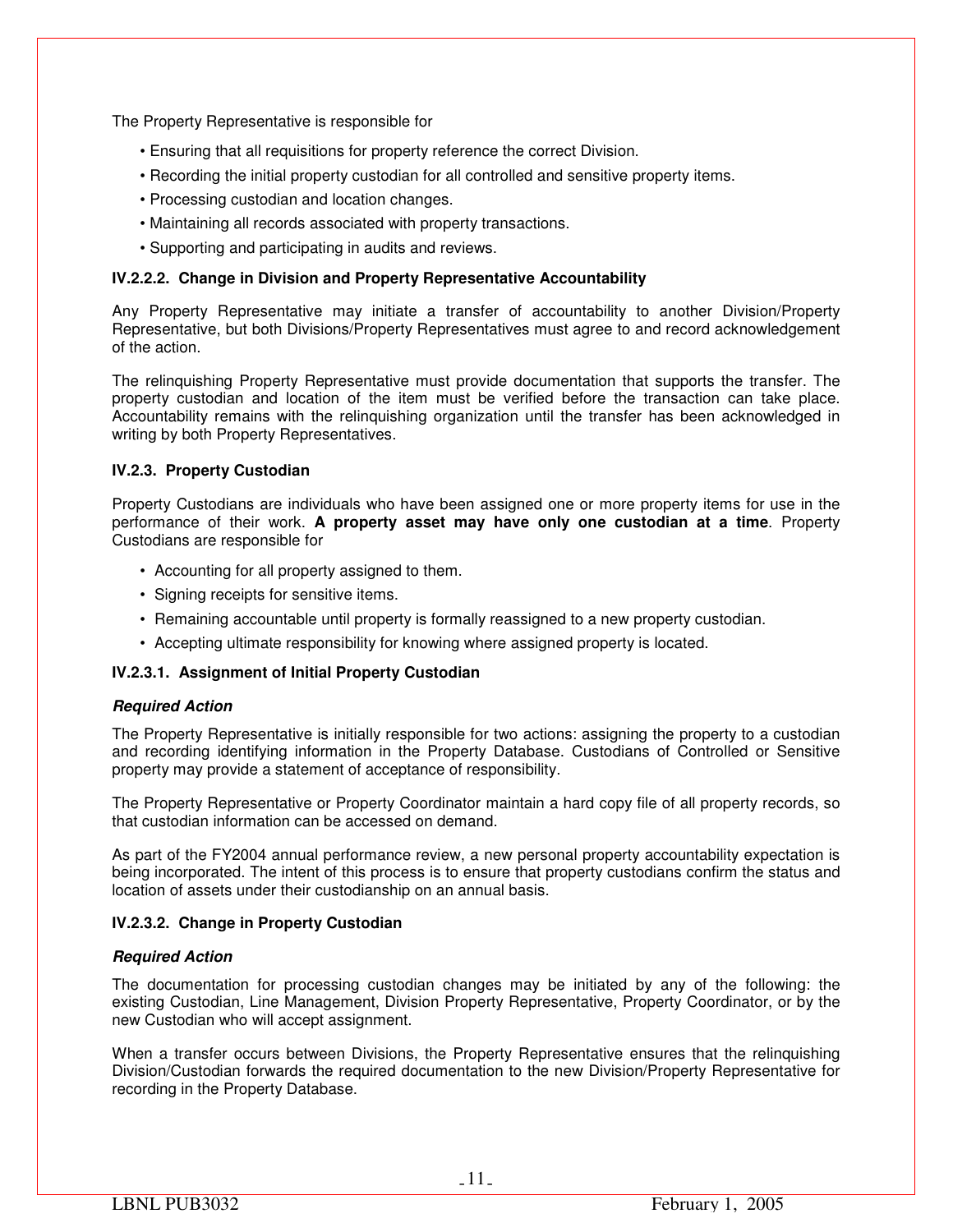The Property Representative is responsible for

- Ensuring that all requisitions for property reference the correct Division.
- Recording the initial property custodian for all controlled and sensitive property items.
- Processing custodian and location changes.
- Maintaining all records associated with property transactions.
- Supporting and participating in audits and reviews.

## **IV.2.2.2. Change in Division and Property Representative Accountability**

Any Property Representative may initiate a transfer of accountability to another Division/Property Representative, but both Divisions/Property Representatives must agree to and record acknowledgement of the action.

The relinquishing Property Representative must provide documentation that supports the transfer. The property custodian and location of the item must be verified before the transaction can take place. Accountability remains with the relinquishing organization until the transfer has been acknowledged in writing by both Property Representatives.

## **IV.2.3. Property Custodian**

Property Custodians are individuals who have been assigned one or more property items for use in the performance of their work. **A property asset may have only one custodian at a time**. Property Custodians are responsible for

- Accounting for all property assigned to them.
- Signing receipts for sensitive items.
- Remaining accountable until property is formally reassigned to a new property custodian.
- Accepting ultimate responsibility for knowing where assigned property is located.

## **IV.2.3.1. Assignment of Initial Property Custodian**

## *Required Action*

The Property Representative is initially responsible for two actions: assigning the property to a custodian and recording identifying information in the Property Database. Custodians of Controlled or Sensitive property may provide a statement of acceptance of responsibility.

The Property Representative or Property Coordinator maintain a hard copy file of all property records, so that custodian information can be accessed on demand.

As part of the FY2004 annual performance review, a new personal property accountability expectation is being incorporated. The intent of this process is to ensure that property custodians confirm the status and location of assets under their custodianship on an annual basis.

## **IV.2.3.2. Change in Property Custodian**

## *Required Action*

The documentation for processing custodian changes may be initiated by any of the following: the existing Custodian, Line Management, Division Property Representative, Property Coordinator, or by the new Custodian who will accept assignment.

When a transfer occurs between Divisions, the Property Representative ensures that the relinquishing Division/Custodian forwards the required documentation to the new Division/Property Representative for recording in the Property Database.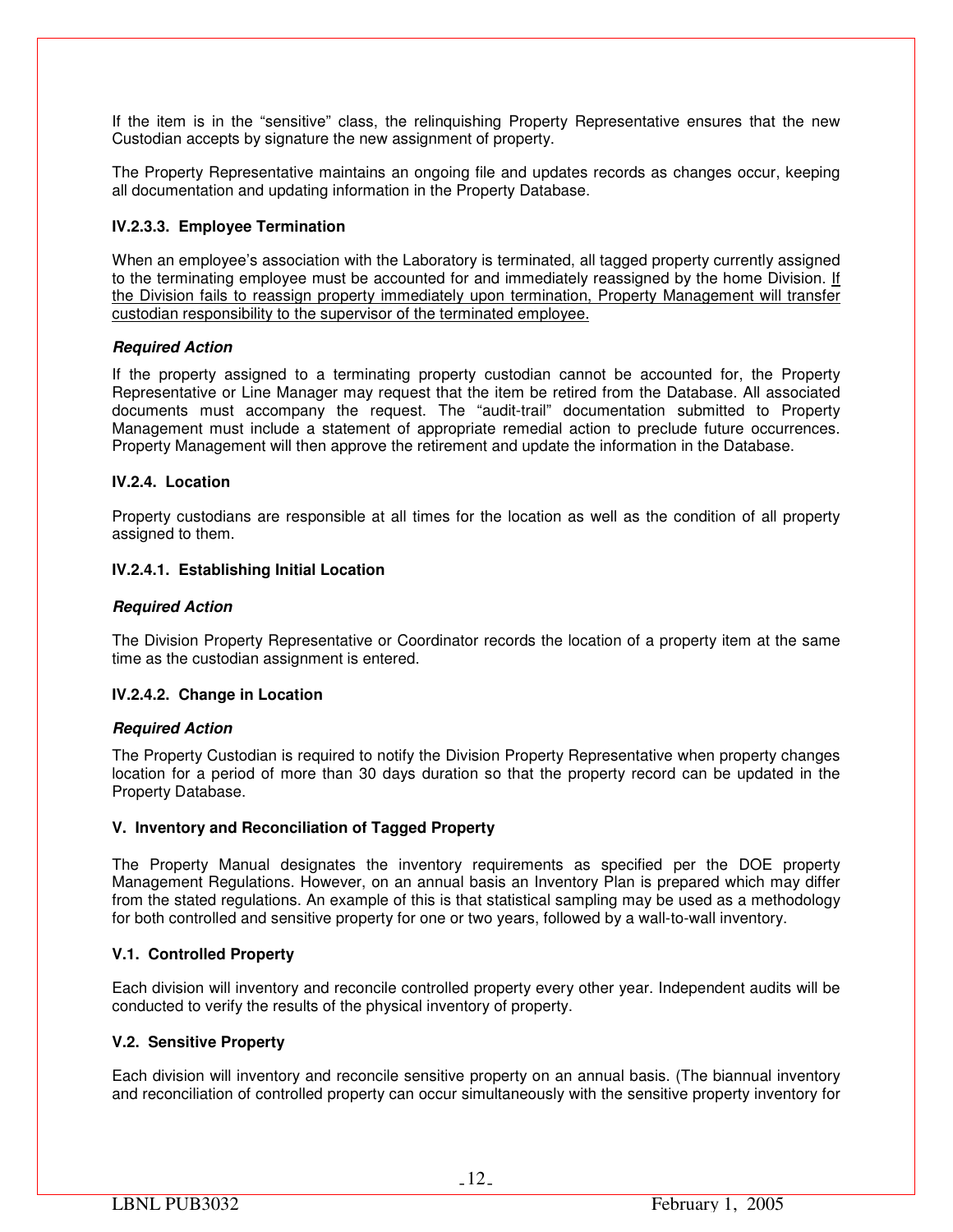If the item is in the "sensitive" class, the relinquishing Property Representative ensures that the new Custodian accepts by signature the new assignment of property.

The Property Representative maintains an ongoing file and updates records as changes occur, keeping all documentation and updating information in the Property Database.

## **IV.2.3.3. Employee Termination**

When an employee's association with the Laboratory is terminated, all tagged property currently assigned to the terminating employee must be accounted for and immediately reassigned by the home Division. If the Division fails to reassign property immediately upon termination, Property Management will transfer custodian responsibility to the supervisor of the terminated employee.

## *Required Action*

If the property assigned to a terminating property custodian cannot be accounted for, the Property Representative or Line Manager may request that the item be retired from the Database. All associated documents must accompany the request. The "audit-trail" documentation submitted to Property Management must include a statement of appropriate remedial action to preclude future occurrences. Property Management will then approve the retirement and update the information in the Database.

## **IV.2.4. Location**

Property custodians are responsible at all times for the location as well as the condition of all property assigned to them.

## **IV.2.4.1. Establishing Initial Location**

## *Required Action*

The Division Property Representative or Coordinator records the location of a property item at the same time as the custodian assignment is entered.

## **IV.2.4.2. Change in Location**

## *Required Action*

The Property Custodian is required to notify the Division Property Representative when property changes location for a period of more than 30 days duration so that the property record can be updated in the Property Database.

## **V. Inventory and Reconciliation of Tagged Property**

The Property Manual designates the inventory requirements as specified per the DOE property Management Regulations. However, on an annual basis an Inventory Plan is prepared which may differ from the stated regulations. An example of this is that statistical sampling may be used as a methodology for both controlled and sensitive property for one or two years, followed by a wall-to-wall inventory.

## **V.1. Controlled Property**

Each division will inventory and reconcile controlled property every other year. Independent audits will be conducted to verify the results of the physical inventory of property.

## **V.2. Sensitive Property**

Each division will inventory and reconcile sensitive property on an annual basis. (The biannual inventory and reconciliation of controlled property can occur simultaneously with the sensitive property inventory for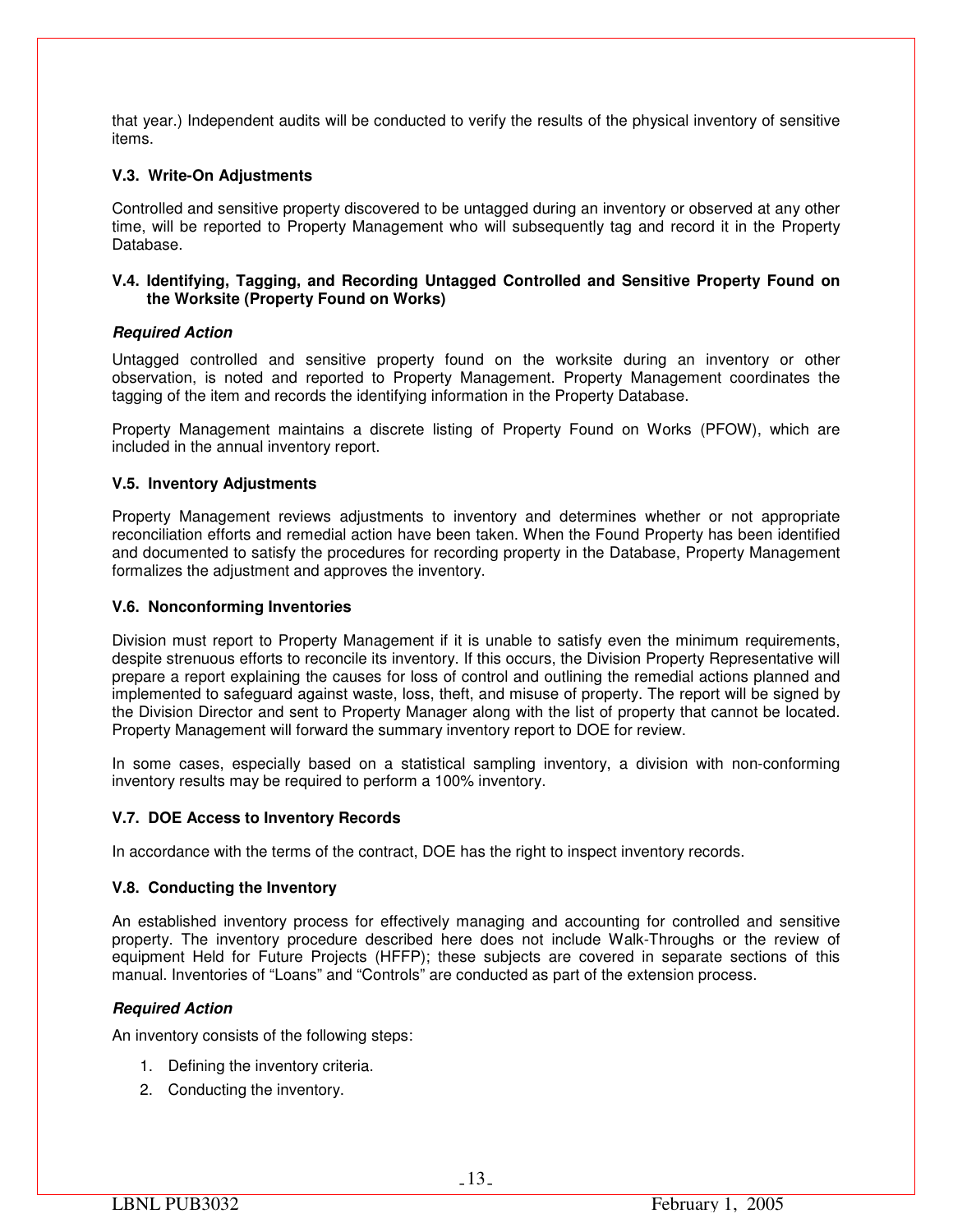that year.) Independent audits will be conducted to verify the results of the physical inventory of sensitive items.

## **V.3. Write-On Adjustments**

Controlled and sensitive property discovered to be untagged during an inventory or observed at any other time, will be reported to Property Management who will subsequently tag and record it in the Property Database.

## **V.4. Identifying, Tagging, and Recording Untagged Controlled and Sensitive Property Found on the Worksite (Property Found on Works)**

## *Required Action*

Untagged controlled and sensitive property found on the worksite during an inventory or other observation, is noted and reported to Property Management. Property Management coordinates the tagging of the item and records the identifying information in the Property Database.

Property Management maintains a discrete listing of Property Found on Works (PFOW), which are included in the annual inventory report.

## **V.5. Inventory Adjustments**

Property Management reviews adjustments to inventory and determines whether or not appropriate reconciliation efforts and remedial action have been taken. When the Found Property has been identified and documented to satisfy the procedures for recording property in the Database, Property Management formalizes the adjustment and approves the inventory.

## **V.6. Nonconforming Inventories**

Division must report to Property Management if it is unable to satisfy even the minimum requirements, despite strenuous efforts to reconcile its inventory. If this occurs, the Division Property Representative will prepare a report explaining the causes for loss of control and outlining the remedial actions planned and implemented to safeguard against waste, loss, theft, and misuse of property. The report will be signed by the Division Director and sent to Property Manager along with the list of property that cannot be located. Property Management will forward the summary inventory report to DOE for review.

In some cases, especially based on a statistical sampling inventory, a division with non-conforming inventory results may be required to perform a 100% inventory.

## **V.7. DOE Access to Inventory Records**

In accordance with the terms of the contract, DOE has the right to inspect inventory records.

## **V.8. Conducting the Inventory**

An established inventory process for effectively managing and accounting for controlled and sensitive property. The inventory procedure described here does not include Walk-Throughs or the review of equipment Held for Future Projects (HFFP); these subjects are covered in separate sections of this manual. Inventories of "Loans" and "Controls" are conducted as part of the extension process.

## *Required Action*

An inventory consists of the following steps:

- 1. Defining the inventory criteria.
- 2. Conducting the inventory.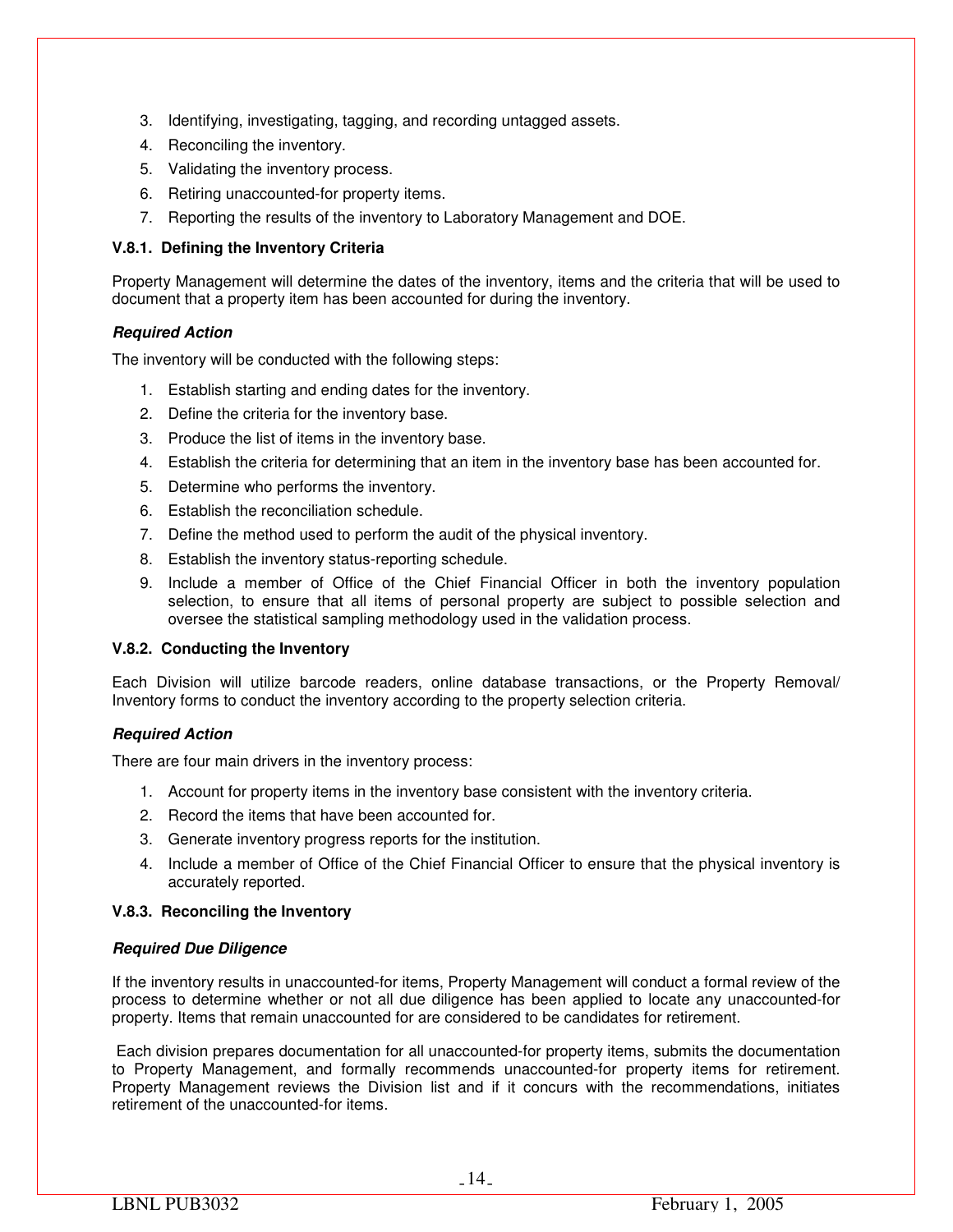- 3. Identifying, investigating, tagging, and recording untagged assets.
- 4. Reconciling the inventory.
- 5. Validating the inventory process.
- 6. Retiring unaccounted-for property items.
- 7. Reporting the results of the inventory to Laboratory Management and DOE.

## **V.8.1. Defining the Inventory Criteria**

Property Management will determine the dates of the inventory, items and the criteria that will be used to document that a property item has been accounted for during the inventory.

## *Required Action*

The inventory will be conducted with the following steps:

- 1. Establish starting and ending dates for the inventory.
- 2. Define the criteria for the inventory base.
- 3. Produce the list of items in the inventory base.
- 4. Establish the criteria for determining that an item in the inventory base has been accounted for.
- 5. Determine who performs the inventory.
- 6. Establish the reconciliation schedule.
- 7. Define the method used to perform the audit of the physical inventory.
- 8. Establish the inventory status-reporting schedule.
- 9. Include a member of Office of the Chief Financial Officer in both the inventory population selection, to ensure that all items of personal property are subject to possible selection and oversee the statistical sampling methodology used in the validation process.

## **V.8.2. Conducting the Inventory**

Each Division will utilize barcode readers, online database transactions, or the Property Removal/ Inventory forms to conduct the inventory according to the property selection criteria.

## *Required Action*

There are four main drivers in the inventory process:

- 1. Account for property items in the inventory base consistent with the inventory criteria.
- 2. Record the items that have been accounted for.
- 3. Generate inventory progress reports for the institution.
- 4. Include a member of Office of the Chief Financial Officer to ensure that the physical inventory is accurately reported.

## **V.8.3. Reconciling the Inventory**

## *Required Due Diligence*

If the inventory results in unaccounted-for items, Property Management will conduct a formal review of the process to determine whether or not all due diligence has been applied to locate any unaccounted-for property. Items that remain unaccounted for are considered to be candidates for retirement.

 Each division prepares documentation for all unaccounted-for property items, submits the documentation to Property Management, and formally recommends unaccounted-for property items for retirement. Property Management reviews the Division list and if it concurs with the recommendations, initiates retirement of the unaccounted-for items.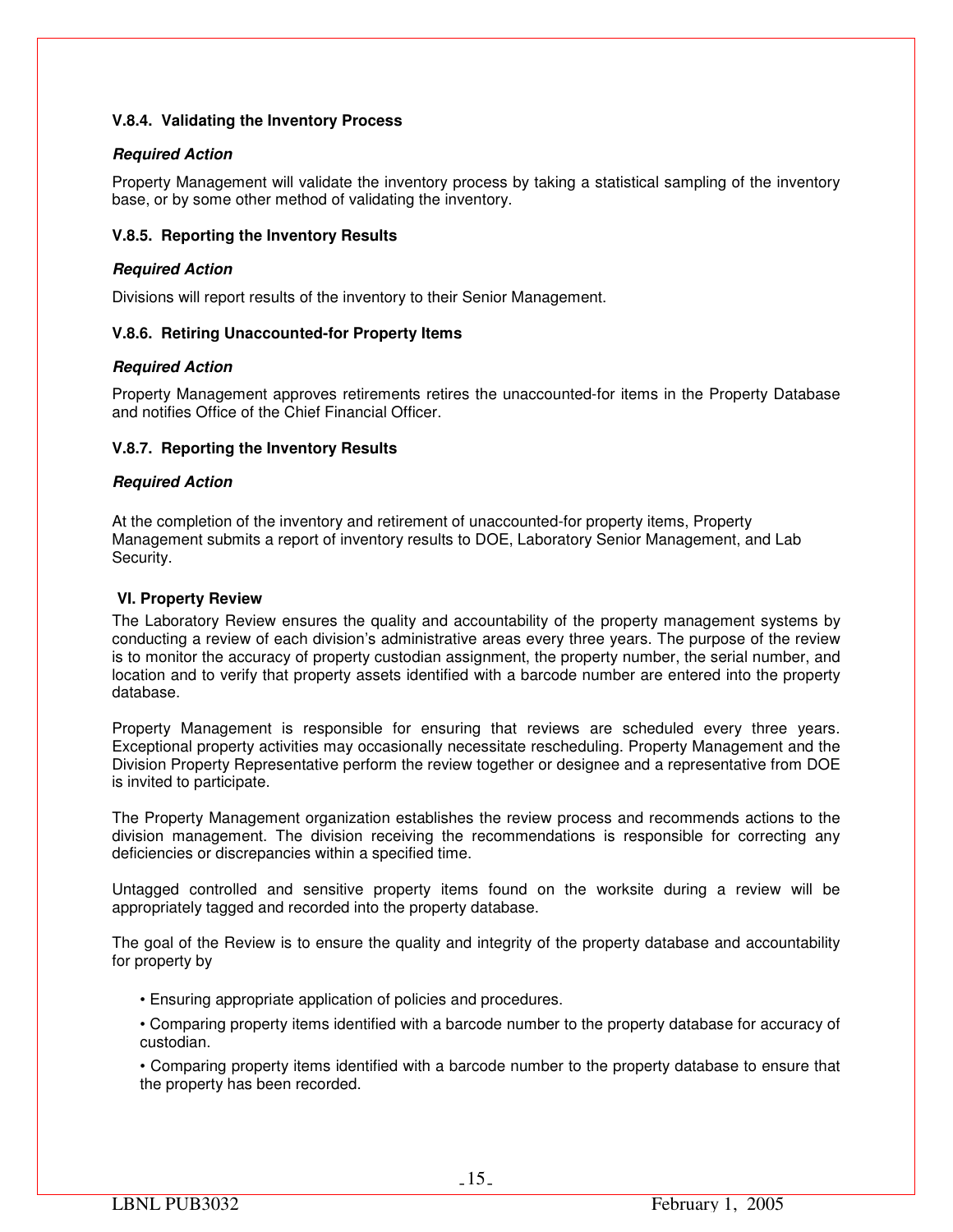## **V.8.4. Validating the Inventory Process**

## *Required Action*

Property Management will validate the inventory process by taking a statistical sampling of the inventory base, or by some other method of validating the inventory.

## **V.8.5. Reporting the Inventory Results**

## *Required Action*

Divisions will report results of the inventory to their Senior Management.

## **V.8.6. Retiring Unaccounted-for Property Items**

## *Required Action*

Property Management approves retirements retires the unaccounted-for items in the Property Database and notifies Office of the Chief Financial Officer.

## **V.8.7. Reporting the Inventory Results**

## *Required Action*

At the completion of the inventory and retirement of unaccounted-for property items, Property Management submits a report of inventory results to DOE, Laboratory Senior Management, and Lab Security.

## **VI. Property Review**

The Laboratory Review ensures the quality and accountability of the property management systems by conducting a review of each division's administrative areas every three years. The purpose of the review is to monitor the accuracy of property custodian assignment, the property number, the serial number, and location and to verify that property assets identified with a barcode number are entered into the property database.

Property Management is responsible for ensuring that reviews are scheduled every three years. Exceptional property activities may occasionally necessitate rescheduling. Property Management and the Division Property Representative perform the review together or designee and a representative from DOE is invited to participate.

The Property Management organization establishes the review process and recommends actions to the division management. The division receiving the recommendations is responsible for correcting any deficiencies or discrepancies within a specified time.

Untagged controlled and sensitive property items found on the worksite during a review will be appropriately tagged and recorded into the property database.

The goal of the Review is to ensure the quality and integrity of the property database and accountability for property by

- Ensuring appropriate application of policies and procedures.
- Comparing property items identified with a barcode number to the property database for accuracy of custodian.
- Comparing property items identified with a barcode number to the property database to ensure that the property has been recorded.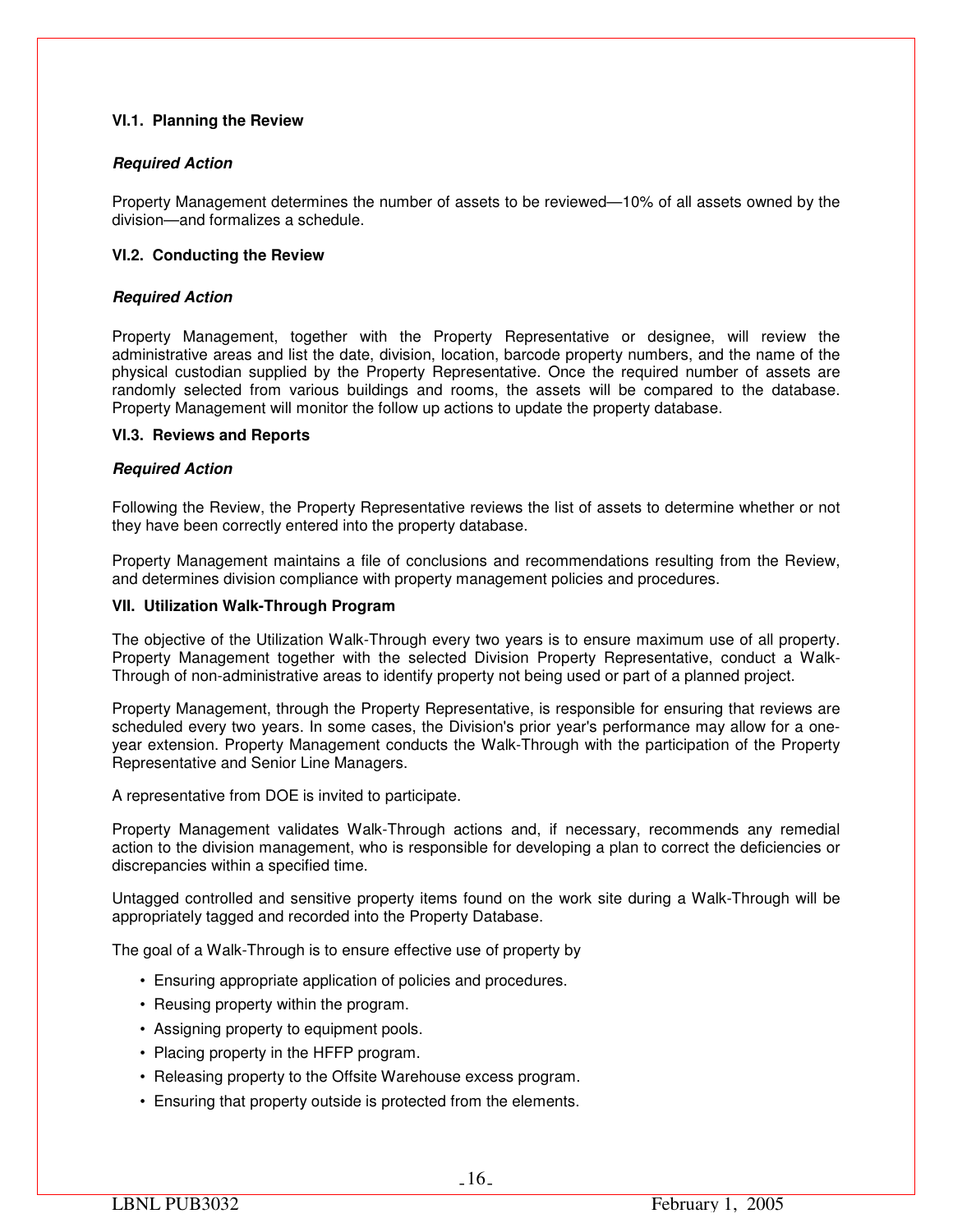## **VI.1. Planning the Review**

## *Required Action*

Property Management determines the number of assets to be reviewed—10% of all assets owned by the division—and formalizes a schedule.

## **VI.2. Conducting the Review**

## *Required Action*

Property Management, together with the Property Representative or designee, will review the administrative areas and list the date, division, location, barcode property numbers, and the name of the physical custodian supplied by the Property Representative. Once the required number of assets are randomly selected from various buildings and rooms, the assets will be compared to the database. Property Management will monitor the follow up actions to update the property database.

## **VI.3. Reviews and Reports**

#### *Required Action*

Following the Review, the Property Representative reviews the list of assets to determine whether or not they have been correctly entered into the property database.

Property Management maintains a file of conclusions and recommendations resulting from the Review, and determines division compliance with property management policies and procedures.

#### **VII. Utilization Walk-Through Program**

The objective of the Utilization Walk-Through every two years is to ensure maximum use of all property. Property Management together with the selected Division Property Representative, conduct a Walk-Through of non-administrative areas to identify property not being used or part of a planned project.

Property Management, through the Property Representative, is responsible for ensuring that reviews are scheduled every two years. In some cases, the Division's prior year's performance may allow for a oneyear extension. Property Management conducts the Walk-Through with the participation of the Property Representative and Senior Line Managers.

A representative from DOE is invited to participate.

Property Management validates Walk-Through actions and, if necessary, recommends any remedial action to the division management, who is responsible for developing a plan to correct the deficiencies or discrepancies within a specified time.

Untagged controlled and sensitive property items found on the work site during a Walk-Through will be appropriately tagged and recorded into the Property Database.

The goal of a Walk-Through is to ensure effective use of property by

- Ensuring appropriate application of policies and procedures.
- Reusing property within the program.
- Assigning property to equipment pools.
- Placing property in the HFFP program.
- Releasing property to the Offsite Warehouse excess program.
- Ensuring that property outside is protected from the elements.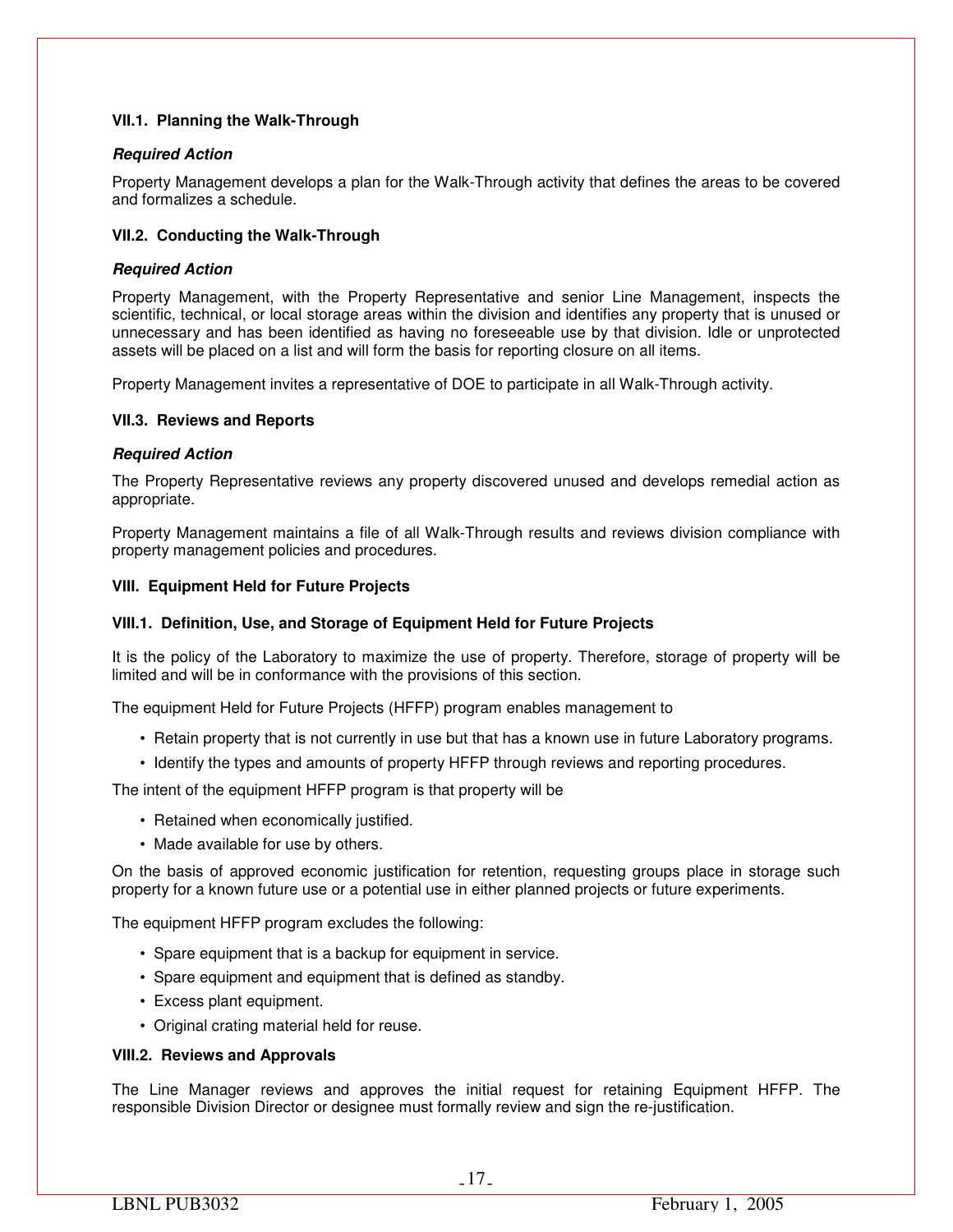## **VII.1. Planning the Walk-Through**

## *Required Action*

Property Management develops a plan for the Walk-Through activity that defines the areas to be covered and formalizes a schedule.

## **VII.2. Conducting the Walk-Through**

## *Required Action*

Property Management, with the Property Representative and senior Line Management, inspects the scientific, technical, or local storage areas within the division and identifies any property that is unused or unnecessary and has been identified as having no foreseeable use by that division. Idle or unprotected assets will be placed on a list and will form the basis for reporting closure on all items.

Property Management invites a representative of DOE to participate in all Walk-Through activity.

## **VII.3. Reviews and Reports**

## *Required Action*

The Property Representative reviews any property discovered unused and develops remedial action as appropriate.

Property Management maintains a file of all Walk-Through results and reviews division compliance with property management policies and procedures.

## **VIII. Equipment Held for Future Projects**

## **VIII.1. Definition, Use, and Storage of Equipment Held for Future Projects**

It is the policy of the Laboratory to maximize the use of property. Therefore, storage of property will be limited and will be in conformance with the provisions of this section.

The equipment Held for Future Projects (HFFP) program enables management to

- Retain property that is not currently in use but that has a known use in future Laboratory programs.
- Identify the types and amounts of property HFFP through reviews and reporting procedures.

The intent of the equipment HFFP program is that property will be

- Retained when economically justified.
- Made available for use by others.

On the basis of approved economic justification for retention, requesting groups place in storage such property for a known future use or a potential use in either planned projects or future experiments.

The equipment HFFP program excludes the following:

- Spare equipment that is a backup for equipment in service.
- Spare equipment and equipment that is defined as standby.
- Excess plant equipment.
- Original crating material held for reuse.

## **VIII.2. Reviews and Approvals**

The Line Manager reviews and approves the initial request for retaining Equipment HFFP. The responsible Division Director or designee must formally review and sign the re-justification.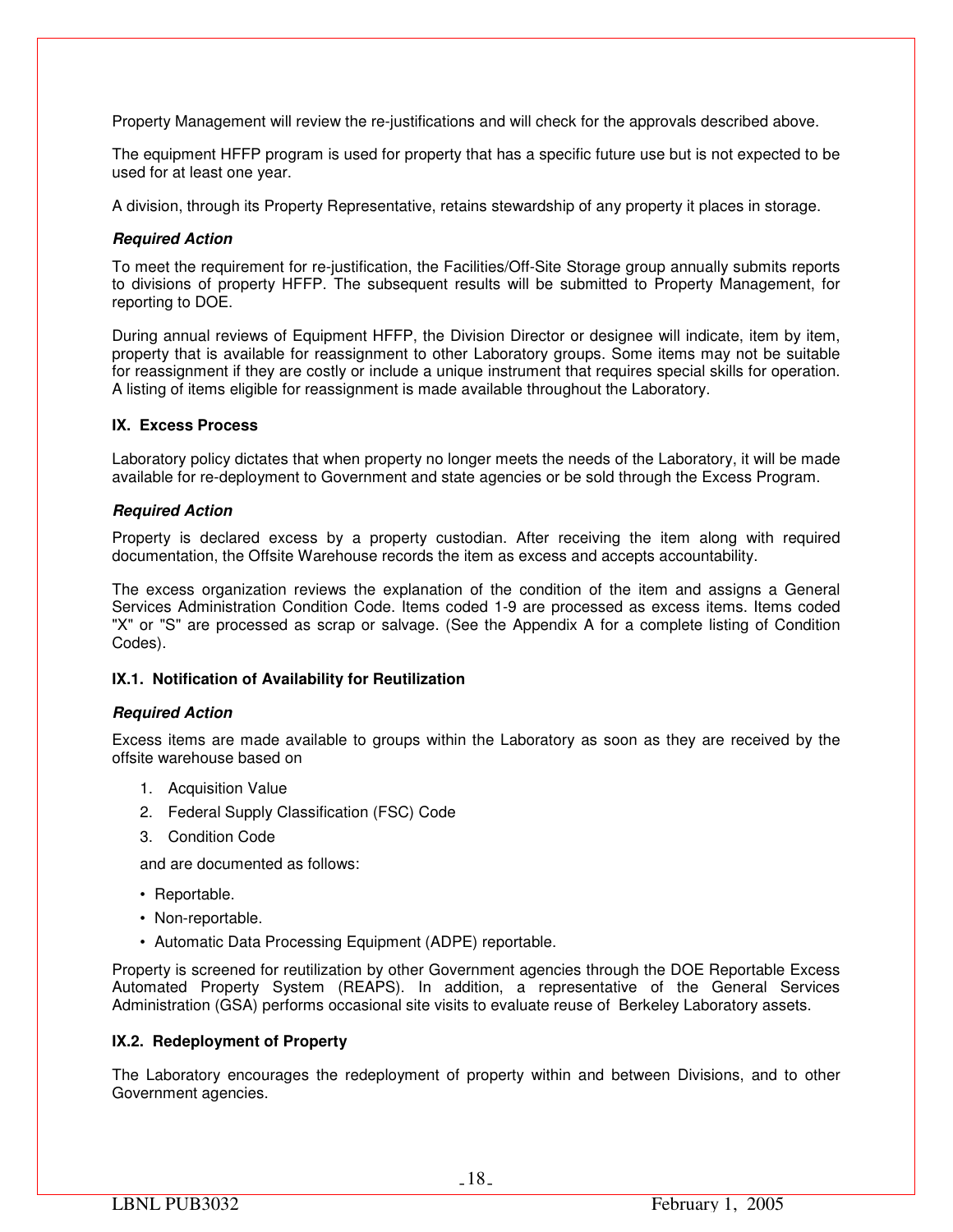Property Management will review the re-justifications and will check for the approvals described above.

The equipment HFFP program is used for property that has a specific future use but is not expected to be used for at least one year.

A division, through its Property Representative, retains stewardship of any property it places in storage.

## *Required Action*

To meet the requirement for re-justification, the Facilities/Off-Site Storage group annually submits reports to divisions of property HFFP. The subsequent results will be submitted to Property Management, for reporting to DOE.

During annual reviews of Equipment HFFP, the Division Director or designee will indicate, item by item, property that is available for reassignment to other Laboratory groups. Some items may not be suitable for reassignment if they are costly or include a unique instrument that requires special skills for operation. A listing of items eligible for reassignment is made available throughout the Laboratory.

## **IX. Excess Process**

Laboratory policy dictates that when property no longer meets the needs of the Laboratory, it will be made available for re-deployment to Government and state agencies or be sold through the Excess Program.

## *Required Action*

Property is declared excess by a property custodian. After receiving the item along with required documentation, the Offsite Warehouse records the item as excess and accepts accountability.

The excess organization reviews the explanation of the condition of the item and assigns a General Services Administration Condition Code. Items coded 1-9 are processed as excess items. Items coded "X" or "S" are processed as scrap or salvage. (See the Appendix A for a complete listing of Condition Codes).

## **IX.1. Notification of Availability for Reutilization**

## *Required Action*

Excess items are made available to groups within the Laboratory as soon as they are received by the offsite warehouse based on

- 1. Acquisition Value
- 2. Federal Supply Classification (FSC) Code
- 3. Condition Code

and are documented as follows:

- Reportable.
- Non-reportable.
- Automatic Data Processing Equipment (ADPE) reportable.

Property is screened for reutilization by other Government agencies through the DOE Reportable Excess Automated Property System (REAPS). In addition, a representative of the General Services Administration (GSA) performs occasional site visits to evaluate reuse of Berkeley Laboratory assets.

## **IX.2. Redeployment of Property**

The Laboratory encourages the redeployment of property within and between Divisions, and to other Government agencies.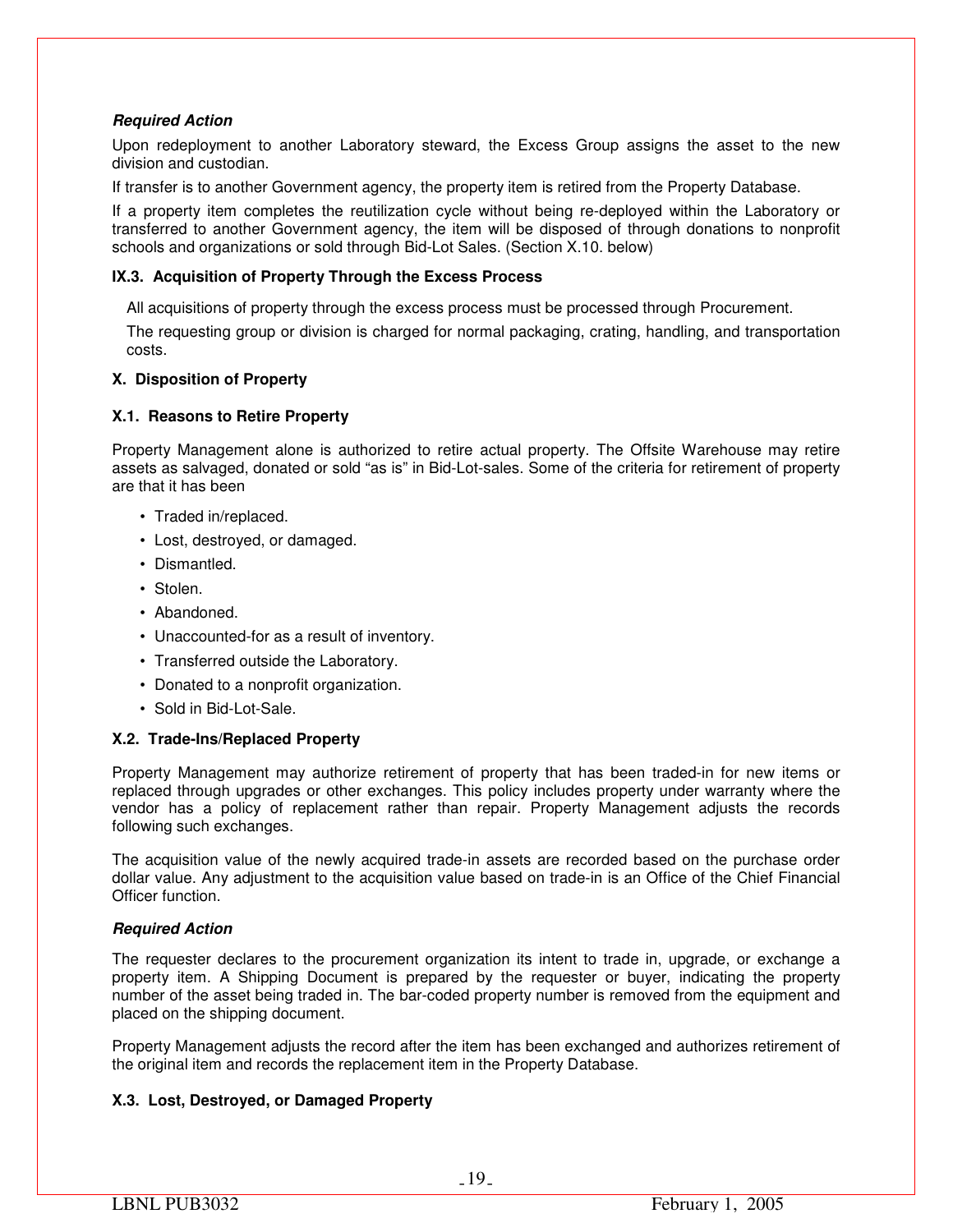## *Required Action*

Upon redeployment to another Laboratory steward, the Excess Group assigns the asset to the new division and custodian.

If transfer is to another Government agency, the property item is retired from the Property Database.

If a property item completes the reutilization cycle without being re-deployed within the Laboratory or transferred to another Government agency, the item will be disposed of through donations to nonprofit schools and organizations or sold through Bid-Lot Sales. (Section X.10. below)

## **IX.3. Acquisition of Property Through the Excess Process**

All acquisitions of property through the excess process must be processed through Procurement.

The requesting group or division is charged for normal packaging, crating, handling, and transportation costs.

## **X. Disposition of Property**

## **X.1. Reasons to Retire Property**

Property Management alone is authorized to retire actual property. The Offsite Warehouse may retire assets as salvaged, donated or sold "as is" in Bid-Lot-sales. Some of the criteria for retirement of property are that it has been

- Traded in/replaced.
- Lost, destroyed, or damaged.
- Dismantled.
- Stolen.
- Abandoned.
- Unaccounted-for as a result of inventory.
- Transferred outside the Laboratory.
- Donated to a nonprofit organization.
- Sold in Bid-Lot-Sale.

## **X.2. Trade-Ins/Replaced Property**

Property Management may authorize retirement of property that has been traded-in for new items or replaced through upgrades or other exchanges. This policy includes property under warranty where the vendor has a policy of replacement rather than repair. Property Management adjusts the records following such exchanges.

The acquisition value of the newly acquired trade-in assets are recorded based on the purchase order dollar value. Any adjustment to the acquisition value based on trade-in is an Office of the Chief Financial Officer function.

## *Required Action*

The requester declares to the procurement organization its intent to trade in, upgrade, or exchange a property item. A Shipping Document is prepared by the requester or buyer, indicating the property number of the asset being traded in. The bar-coded property number is removed from the equipment and placed on the shipping document.

Property Management adjusts the record after the item has been exchanged and authorizes retirement of the original item and records the replacement item in the Property Database.

## **X.3. Lost, Destroyed, or Damaged Property**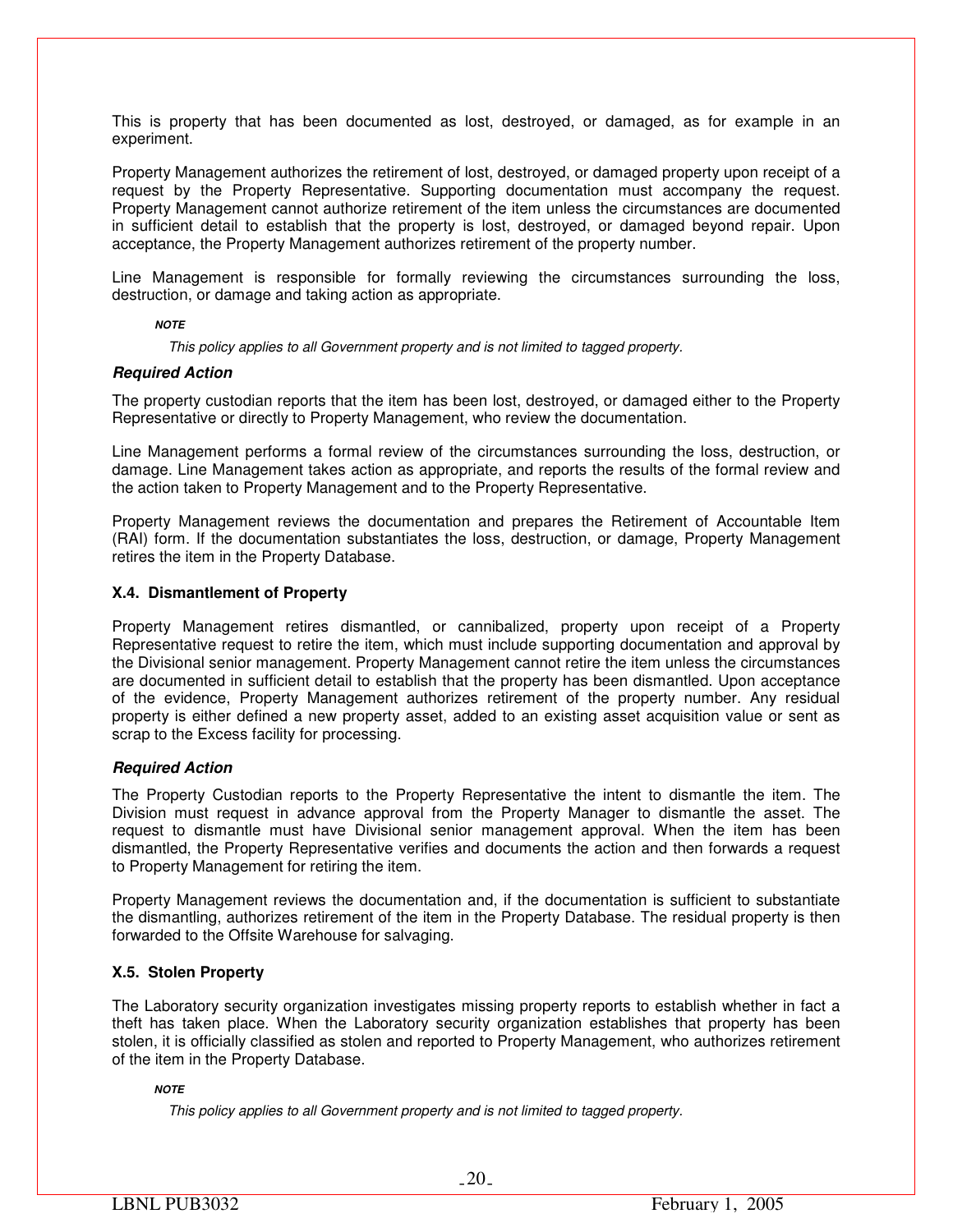This is property that has been documented as lost, destroyed, or damaged, as for example in an experiment.

Property Management authorizes the retirement of lost, destroyed, or damaged property upon receipt of a request by the Property Representative. Supporting documentation must accompany the request. Property Management cannot authorize retirement of the item unless the circumstances are documented in sufficient detail to establish that the property is lost, destroyed, or damaged beyond repair. Upon acceptance, the Property Management authorizes retirement of the property number.

Line Management is responsible for formally reviewing the circumstances surrounding the loss, destruction, or damage and taking action as appropriate.

#### *NOTE*

*This policy applies to all Government property and is not limited to tagged property.* 

## *Required Action*

The property custodian reports that the item has been lost, destroyed, or damaged either to the Property Representative or directly to Property Management, who review the documentation.

Line Management performs a formal review of the circumstances surrounding the loss, destruction, or damage. Line Management takes action as appropriate, and reports the results of the formal review and the action taken to Property Management and to the Property Representative.

Property Management reviews the documentation and prepares the Retirement of Accountable Item (RAI) form. If the documentation substantiates the loss, destruction, or damage, Property Management retires the item in the Property Database.

## **X.4. Dismantlement of Property**

Property Management retires dismantled, or cannibalized, property upon receipt of a Property Representative request to retire the item, which must include supporting documentation and approval by the Divisional senior management. Property Management cannot retire the item unless the circumstances are documented in sufficient detail to establish that the property has been dismantled. Upon acceptance of the evidence, Property Management authorizes retirement of the property number. Any residual property is either defined a new property asset, added to an existing asset acquisition value or sent as scrap to the Excess facility for processing.

## *Required Action*

The Property Custodian reports to the Property Representative the intent to dismantle the item. The Division must request in advance approval from the Property Manager to dismantle the asset. The request to dismantle must have Divisional senior management approval. When the item has been dismantled, the Property Representative verifies and documents the action and then forwards a request to Property Management for retiring the item.

Property Management reviews the documentation and, if the documentation is sufficient to substantiate the dismantling, authorizes retirement of the item in the Property Database. The residual property is then forwarded to the Offsite Warehouse for salvaging.

## **X.5. Stolen Property**

The Laboratory security organization investigates missing property reports to establish whether in fact a theft has taken place. When the Laboratory security organization establishes that property has been stolen, it is officially classified as stolen and reported to Property Management, who authorizes retirement of the item in the Property Database.

## *NOTE*

*This policy applies to all Government property and is not limited to tagged property.*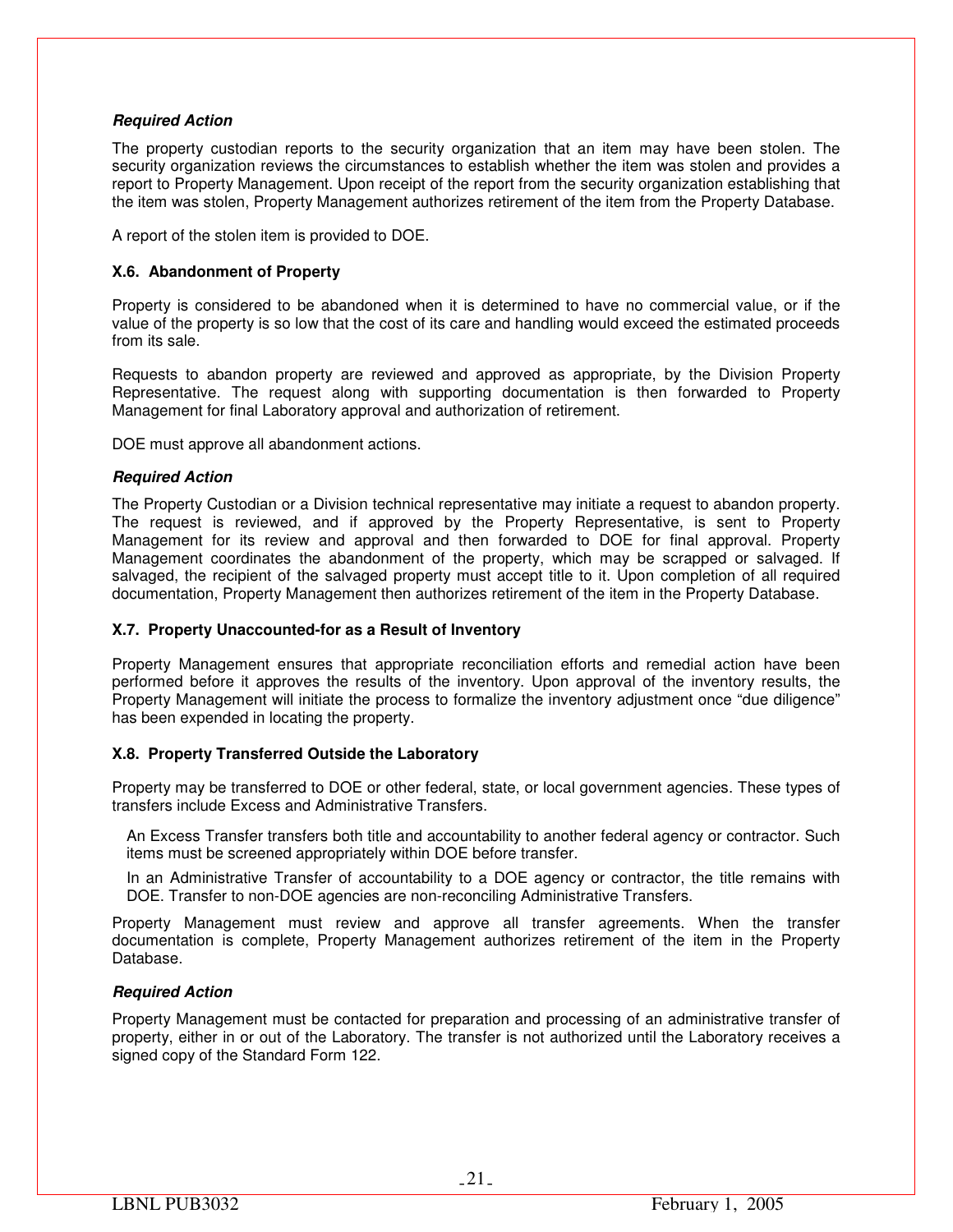## *Required Action*

The property custodian reports to the security organization that an item may have been stolen. The security organization reviews the circumstances to establish whether the item was stolen and provides a report to Property Management. Upon receipt of the report from the security organization establishing that the item was stolen, Property Management authorizes retirement of the item from the Property Database.

A report of the stolen item is provided to DOE.

## **X.6. Abandonment of Property**

Property is considered to be abandoned when it is determined to have no commercial value, or if the value of the property is so low that the cost of its care and handling would exceed the estimated proceeds from its sale.

Requests to abandon property are reviewed and approved as appropriate, by the Division Property Representative. The request along with supporting documentation is then forwarded to Property Management for final Laboratory approval and authorization of retirement.

DOE must approve all abandonment actions.

## *Required Action*

The Property Custodian or a Division technical representative may initiate a request to abandon property. The request is reviewed, and if approved by the Property Representative, is sent to Property Management for its review and approval and then forwarded to DOE for final approval. Property Management coordinates the abandonment of the property, which may be scrapped or salvaged. If salvaged, the recipient of the salvaged property must accept title to it. Upon completion of all required documentation, Property Management then authorizes retirement of the item in the Property Database.

## **X.7. Property Unaccounted-for as a Result of Inventory**

Property Management ensures that appropriate reconciliation efforts and remedial action have been performed before it approves the results of the inventory. Upon approval of the inventory results, the Property Management will initiate the process to formalize the inventory adjustment once "due diligence" has been expended in locating the property.

## **X.8. Property Transferred Outside the Laboratory**

Property may be transferred to DOE or other federal, state, or local government agencies. These types of transfers include Excess and Administrative Transfers.

An Excess Transfer transfers both title and accountability to another federal agency or contractor. Such items must be screened appropriately within DOE before transfer.

In an Administrative Transfer of accountability to a DOE agency or contractor, the title remains with DOE. Transfer to non-DOE agencies are non-reconciling Administrative Transfers.

Property Management must review and approve all transfer agreements. When the transfer documentation is complete, Property Management authorizes retirement of the item in the Property Database.

## *Required Action*

Property Management must be contacted for preparation and processing of an administrative transfer of property, either in or out of the Laboratory. The transfer is not authorized until the Laboratory receives a signed copy of the Standard Form 122.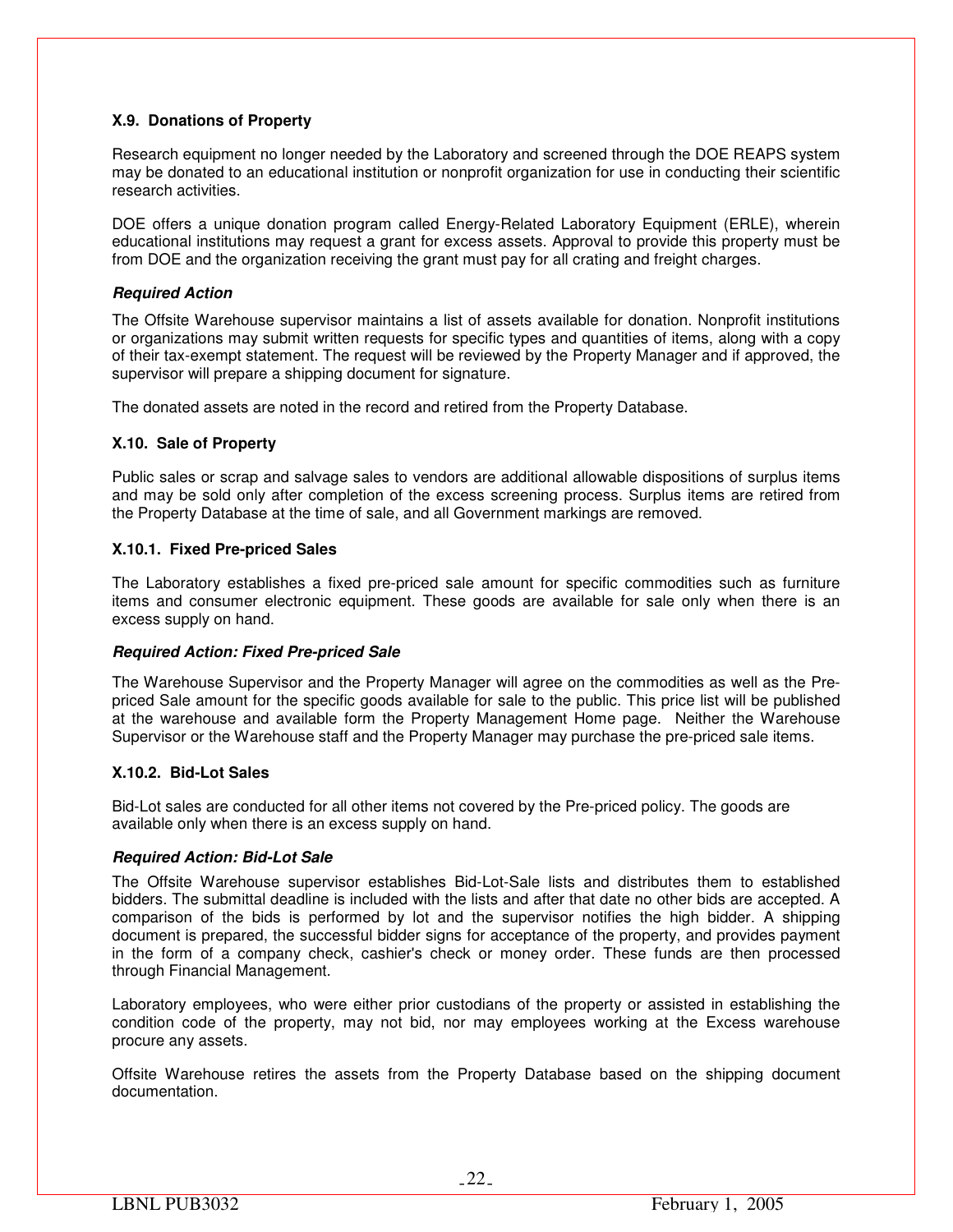## **X.9. Donations of Property**

Research equipment no longer needed by the Laboratory and screened through the DOE REAPS system may be donated to an educational institution or nonprofit organization for use in conducting their scientific research activities.

DOE offers a unique donation program called Energy-Related Laboratory Equipment (ERLE), wherein educational institutions may request a grant for excess assets. Approval to provide this property must be from DOE and the organization receiving the grant must pay for all crating and freight charges.

## *Required Action*

The Offsite Warehouse supervisor maintains a list of assets available for donation. Nonprofit institutions or organizations may submit written requests for specific types and quantities of items, along with a copy of their tax-exempt statement. The request will be reviewed by the Property Manager and if approved, the supervisor will prepare a shipping document for signature.

The donated assets are noted in the record and retired from the Property Database.

## **X.10. Sale of Property**

Public sales or scrap and salvage sales to vendors are additional allowable dispositions of surplus items and may be sold only after completion of the excess screening process. Surplus items are retired from the Property Database at the time of sale, and all Government markings are removed.

## **X.10.1. Fixed Pre-priced Sales**

The Laboratory establishes a fixed pre-priced sale amount for specific commodities such as furniture items and consumer electronic equipment. These goods are available for sale only when there is an excess supply on hand.

## *Required Action: Fixed Pre-priced Sale*

The Warehouse Supervisor and the Property Manager will agree on the commodities as well as the Prepriced Sale amount for the specific goods available for sale to the public. This price list will be published at the warehouse and available form the Property Management Home page. Neither the Warehouse Supervisor or the Warehouse staff and the Property Manager may purchase the pre-priced sale items.

## **X.10.2. Bid-Lot Sales**

Bid-Lot sales are conducted for all other items not covered by the Pre-priced policy. The goods are available only when there is an excess supply on hand.

## *Required Action: Bid-Lot Sale*

The Offsite Warehouse supervisor establishes Bid-Lot-Sale lists and distributes them to established bidders. The submittal deadline is included with the lists and after that date no other bids are accepted. A comparison of the bids is performed by lot and the supervisor notifies the high bidder. A shipping document is prepared, the successful bidder signs for acceptance of the property, and provides payment in the form of a company check, cashier's check or money order. These funds are then processed through Financial Management.

Laboratory employees, who were either prior custodians of the property or assisted in establishing the condition code of the property, may not bid, nor may employees working at the Excess warehouse procure any assets.

Offsite Warehouse retires the assets from the Property Database based on the shipping document documentation.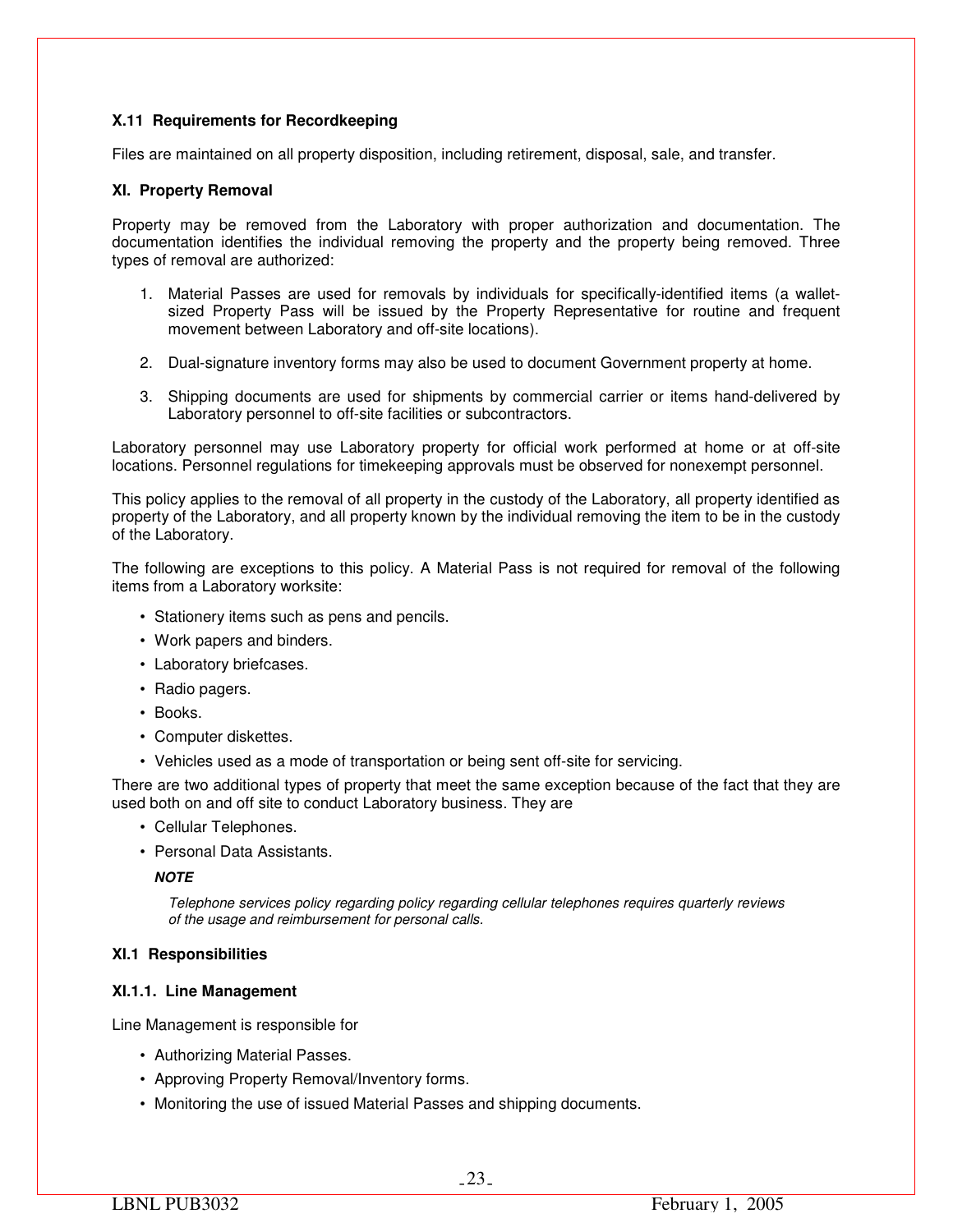## **X.11 Requirements for Recordkeeping**

Files are maintained on all property disposition, including retirement, disposal, sale, and transfer.

#### **XI. Property Removal**

Property may be removed from the Laboratory with proper authorization and documentation. The documentation identifies the individual removing the property and the property being removed. Three types of removal are authorized:

- 1. Material Passes are used for removals by individuals for specifically-identified items (a walletsized Property Pass will be issued by the Property Representative for routine and frequent movement between Laboratory and off-site locations).
- 2. Dual-signature inventory forms may also be used to document Government property at home.
- 3. Shipping documents are used for shipments by commercial carrier or items hand-delivered by Laboratory personnel to off-site facilities or subcontractors.

Laboratory personnel may use Laboratory property for official work performed at home or at off-site locations. Personnel regulations for timekeeping approvals must be observed for nonexempt personnel.

This policy applies to the removal of all property in the custody of the Laboratory, all property identified as property of the Laboratory, and all property known by the individual removing the item to be in the custody of the Laboratory.

The following are exceptions to this policy. A Material Pass is not required for removal of the following items from a Laboratory worksite:

- Stationery items such as pens and pencils.
- Work papers and binders.
- Laboratory briefcases.
- Radio pagers.
- Books.
- Computer diskettes.
- Vehicles used as a mode of transportation or being sent off-site for servicing.

There are two additional types of property that meet the same exception because of the fact that they are used both on and off site to conduct Laboratory business. They are

- Cellular Telephones.
- Personal Data Assistants.

*NOTE* 

*Telephone services policy regarding policy regarding cellular telephones requires quarterly reviews of the usage and reimbursement for personal calls.* 

## **XI.1 Responsibilities**

#### **XI.1.1. Line Management**

Line Management is responsible for

- Authorizing Material Passes.
- Approving Property Removal/Inventory forms.
- Monitoring the use of issued Material Passes and shipping documents.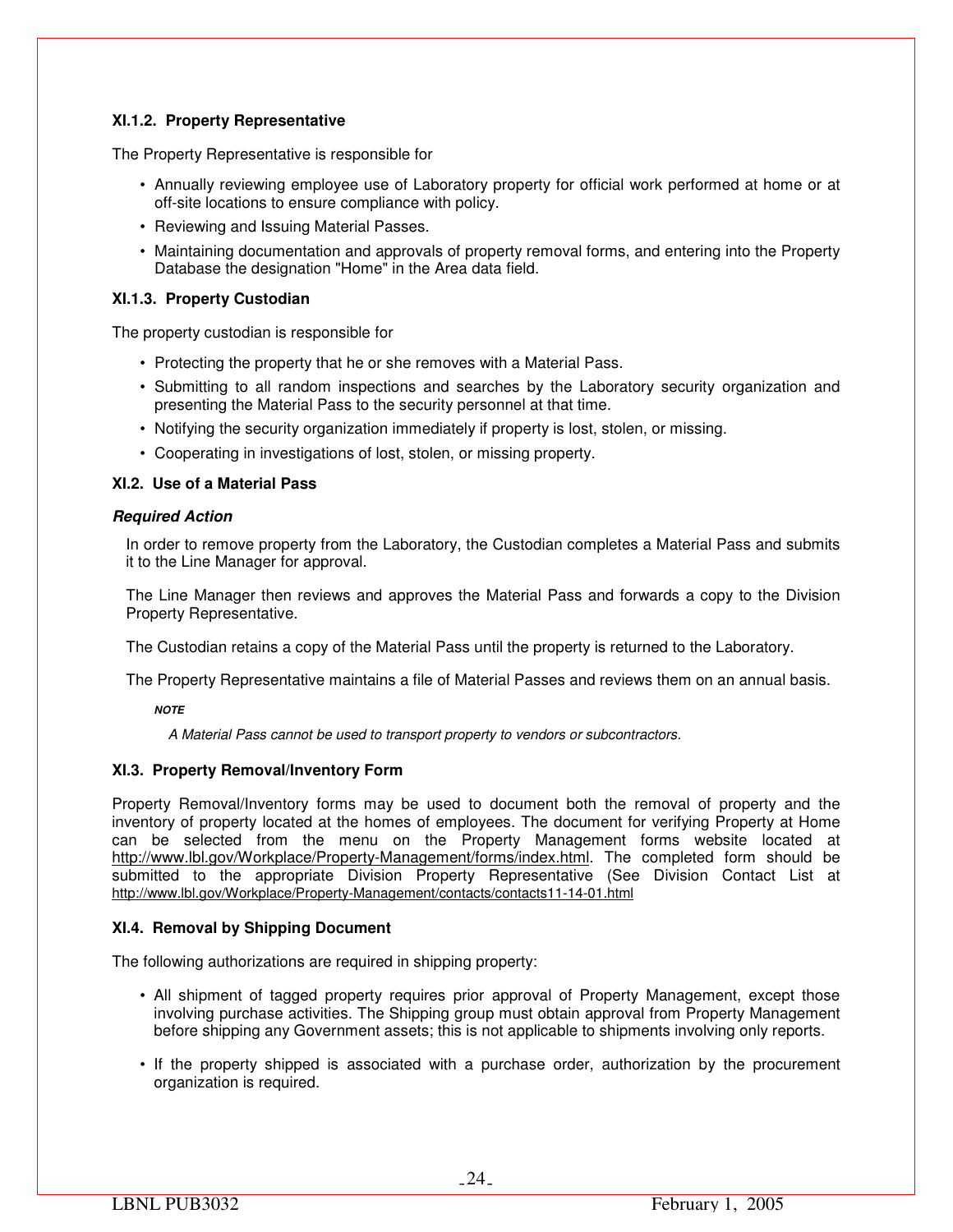## **XI.1.2. Property Representative**

The Property Representative is responsible for

- Annually reviewing employee use of Laboratory property for official work performed at home or at off-site locations to ensure compliance with policy.
- Reviewing and Issuing Material Passes.
- Maintaining documentation and approvals of property removal forms, and entering into the Property Database the designation "Home" in the Area data field.

## **XI.1.3. Property Custodian**

The property custodian is responsible for

- Protecting the property that he or she removes with a Material Pass.
- Submitting to all random inspections and searches by the Laboratory security organization and presenting the Material Pass to the security personnel at that time.
- Notifying the security organization immediately if property is lost, stolen, or missing.
- Cooperating in investigations of lost, stolen, or missing property.

## **XI.2. Use of a Material Pass**

## *Required Action*

In order to remove property from the Laboratory, the Custodian completes a Material Pass and submits it to the Line Manager for approval.

The Line Manager then reviews and approves the Material Pass and forwards a copy to the Division Property Representative.

The Custodian retains a copy of the Material Pass until the property is returned to the Laboratory.

The Property Representative maintains a file of Material Passes and reviews them on an annual basis.

*NOTE* 

*A Material Pass cannot be used to transport property to vendors or subcontractors.* 

## **XI.3. Property Removal/Inventory Form**

Property Removal/Inventory forms may be used to document both the removal of property and the inventory of property located at the homes of employees. The document for verifying Property at Home can be selected from the menu on the Property Management forms website located at http://www.lbl.gov/Workplace/Property-Management/forms/index.html. The completed form should be submitted to the appropriate Division Property Representative (See Division Contact List at http://www.lbl.gov/Workplace/Property-Management/contacts/contacts11-14-01.html

## **XI.4. Removal by Shipping Document**

The following authorizations are required in shipping property:

- All shipment of tagged property requires prior approval of Property Management, except those involving purchase activities. The Shipping group must obtain approval from Property Management before shipping any Government assets; this is not applicable to shipments involving only reports.
- If the property shipped is associated with a purchase order, authorization by the procurement organization is required.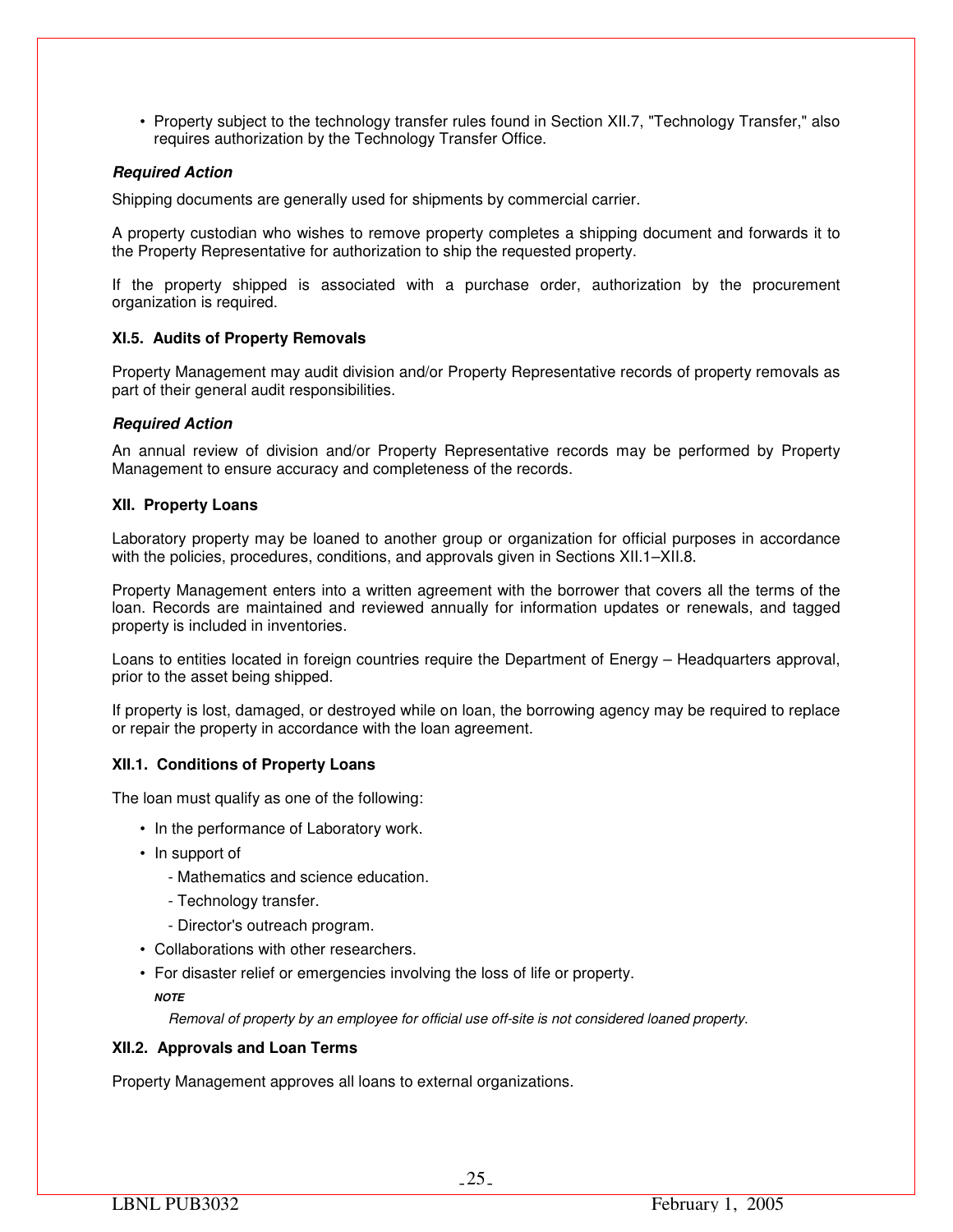• Property subject to the technology transfer rules found in Section XII.7, "Technology Transfer," also requires authorization by the Technology Transfer Office.

## *Required Action*

Shipping documents are generally used for shipments by commercial carrier.

A property custodian who wishes to remove property completes a shipping document and forwards it to the Property Representative for authorization to ship the requested property.

If the property shipped is associated with a purchase order, authorization by the procurement organization is required.

## **XI.5. Audits of Property Removals**

Property Management may audit division and/or Property Representative records of property removals as part of their general audit responsibilities.

## *Required Action*

An annual review of division and/or Property Representative records may be performed by Property Management to ensure accuracy and completeness of the records.

## **XII. Property Loans**

Laboratory property may be loaned to another group or organization for official purposes in accordance with the policies, procedures, conditions, and approvals given in Sections XII.1–XII.8.

Property Management enters into a written agreement with the borrower that covers all the terms of the loan. Records are maintained and reviewed annually for information updates or renewals, and tagged property is included in inventories.

Loans to entities located in foreign countries require the Department of Energy – Headquarters approval, prior to the asset being shipped.

If property is lost, damaged, or destroyed while on loan, the borrowing agency may be required to replace or repair the property in accordance with the loan agreement.

## **XII.1. Conditions of Property Loans**

The loan must qualify as one of the following:

- In the performance of Laboratory work.
- In support of
	- Mathematics and science education.
	- Technology transfer.
	- Director's outreach program.
- Collaborations with other researchers.
- For disaster relief or emergencies involving the loss of life or property.
	- *NOTE*

*Removal of property by an employee for official use off-site is not considered loaned property.* 

## **XII.2. Approvals and Loan Terms**

Property Management approves all loans to external organizations.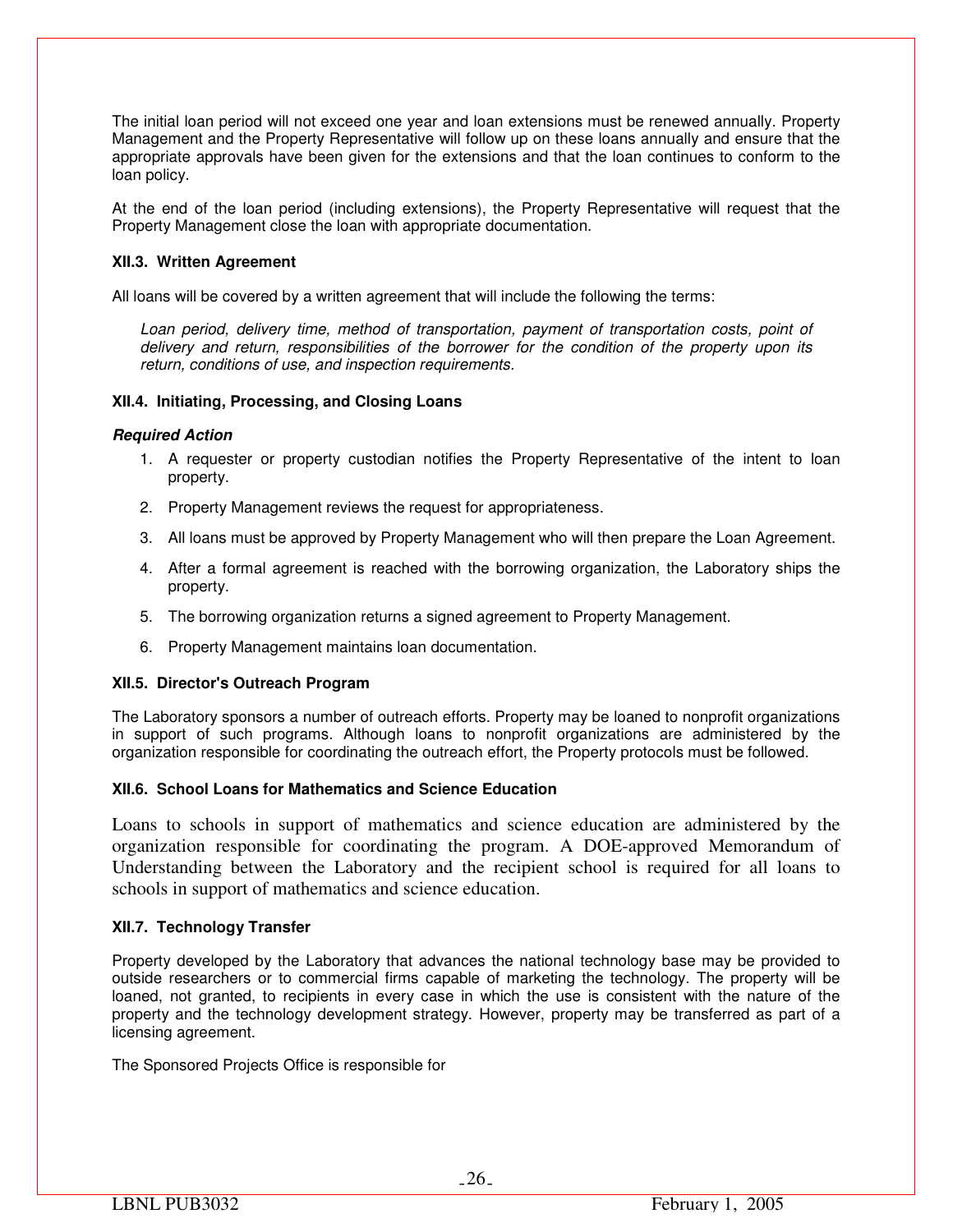The initial loan period will not exceed one year and loan extensions must be renewed annually. Property Management and the Property Representative will follow up on these loans annually and ensure that the appropriate approvals have been given for the extensions and that the loan continues to conform to the loan policy.

At the end of the loan period (including extensions), the Property Representative will request that the Property Management close the loan with appropriate documentation.

## **XII.3. Written Agreement**

All loans will be covered by a written agreement that will include the following the terms:

*Loan period, delivery time, method of transportation, payment of transportation costs, point of delivery and return, responsibilities of the borrower for the condition of the property upon its return, conditions of use, and inspection requirements.* 

## **XII.4. Initiating, Processing, and Closing Loans**

## *Required Action*

- 1. A requester or property custodian notifies the Property Representative of the intent to loan property.
- 2. Property Management reviews the request for appropriateness.
- 3. All loans must be approved by Property Management who will then prepare the Loan Agreement.
- 4. After a formal agreement is reached with the borrowing organization, the Laboratory ships the property.
- 5. The borrowing organization returns a signed agreement to Property Management.
- 6. Property Management maintains loan documentation.

## **XII.5. Director's Outreach Program**

The Laboratory sponsors a number of outreach efforts. Property may be loaned to nonprofit organizations in support of such programs. Although loans to nonprofit organizations are administered by the organization responsible for coordinating the outreach effort, the Property protocols must be followed.

## **XII.6. School Loans for Mathematics and Science Education**

Loans to schools in support of mathematics and science education are administered by the organization responsible for coordinating the program. A DOE-approved Memorandum of Understanding between the Laboratory and the recipient school is required for all loans to schools in support of mathematics and science education.

## **XII.7. Technology Transfer**

Property developed by the Laboratory that advances the national technology base may be provided to outside researchers or to commercial firms capable of marketing the technology. The property will be loaned, not granted, to recipients in every case in which the use is consistent with the nature of the property and the technology development strategy. However, property may be transferred as part of a licensing agreement.

The Sponsored Projects Office is responsible for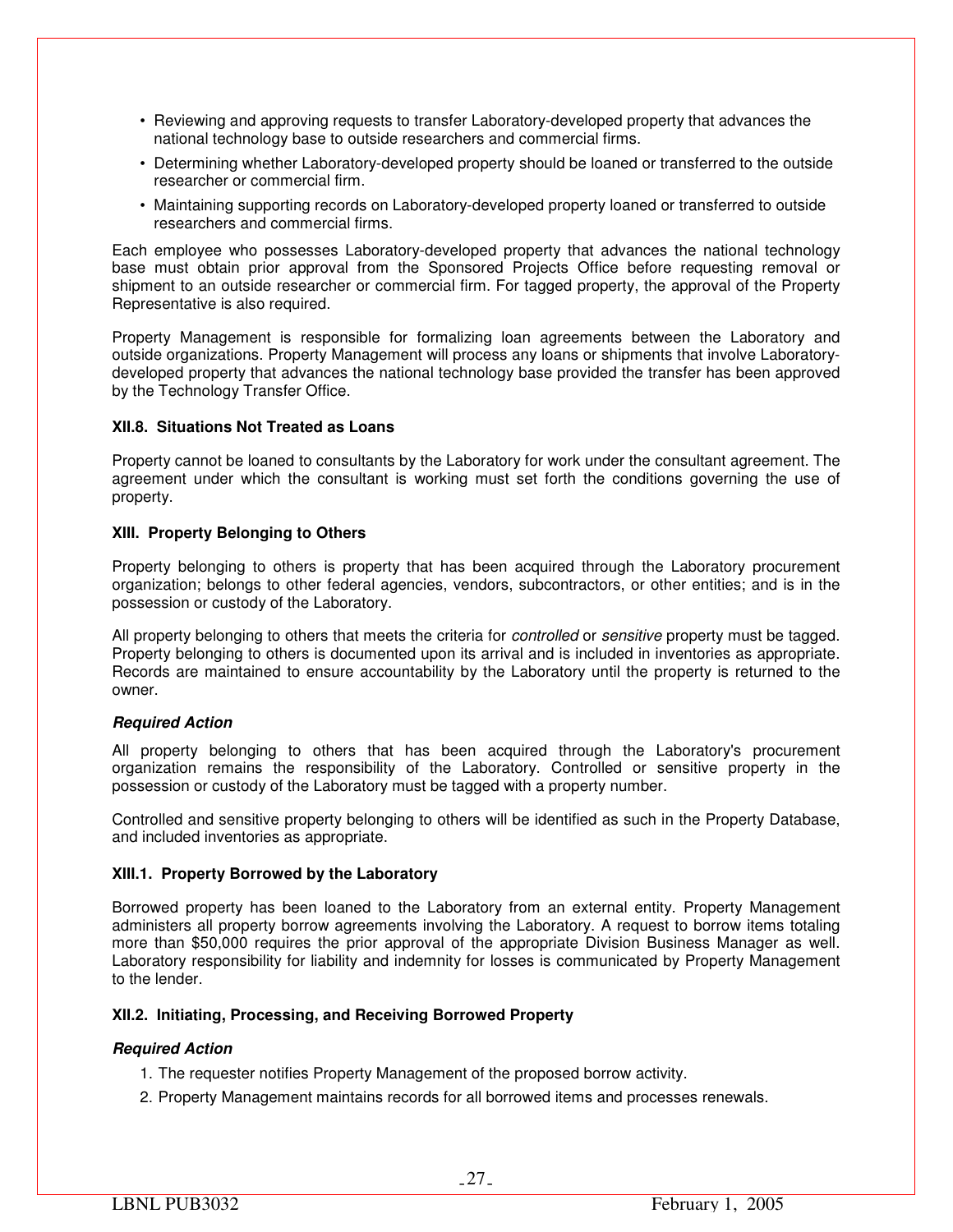- Reviewing and approving requests to transfer Laboratory-developed property that advances the national technology base to outside researchers and commercial firms.
- Determining whether Laboratory-developed property should be loaned or transferred to the outside researcher or commercial firm.
- Maintaining supporting records on Laboratory-developed property loaned or transferred to outside researchers and commercial firms.

Each employee who possesses Laboratory-developed property that advances the national technology base must obtain prior approval from the Sponsored Projects Office before requesting removal or shipment to an outside researcher or commercial firm. For tagged property, the approval of the Property Representative is also required.

Property Management is responsible for formalizing loan agreements between the Laboratory and outside organizations. Property Management will process any loans or shipments that involve Laboratorydeveloped property that advances the national technology base provided the transfer has been approved by the Technology Transfer Office.

## **XII.8. Situations Not Treated as Loans**

Property cannot be loaned to consultants by the Laboratory for work under the consultant agreement. The agreement under which the consultant is working must set forth the conditions governing the use of property.

## **XIII. Property Belonging to Others**

Property belonging to others is property that has been acquired through the Laboratory procurement organization; belongs to other federal agencies, vendors, subcontractors, or other entities; and is in the possession or custody of the Laboratory.

All property belonging to others that meets the criteria for *controlled* or *sensitive* property must be tagged. Property belonging to others is documented upon its arrival and is included in inventories as appropriate. Records are maintained to ensure accountability by the Laboratory until the property is returned to the owner.

## *Required Action*

All property belonging to others that has been acquired through the Laboratory's procurement organization remains the responsibility of the Laboratory. Controlled or sensitive property in the possession or custody of the Laboratory must be tagged with a property number.

Controlled and sensitive property belonging to others will be identified as such in the Property Database, and included inventories as appropriate.

## **XIII.1. Property Borrowed by the Laboratory**

Borrowed property has been loaned to the Laboratory from an external entity. Property Management administers all property borrow agreements involving the Laboratory. A request to borrow items totaling more than \$50,000 requires the prior approval of the appropriate Division Business Manager as well. Laboratory responsibility for liability and indemnity for losses is communicated by Property Management to the lender.

## **XII.2. Initiating, Processing, and Receiving Borrowed Property**

## *Required Action*

- 1. The requester notifies Property Management of the proposed borrow activity.
- 2. Property Management maintains records for all borrowed items and processes renewals.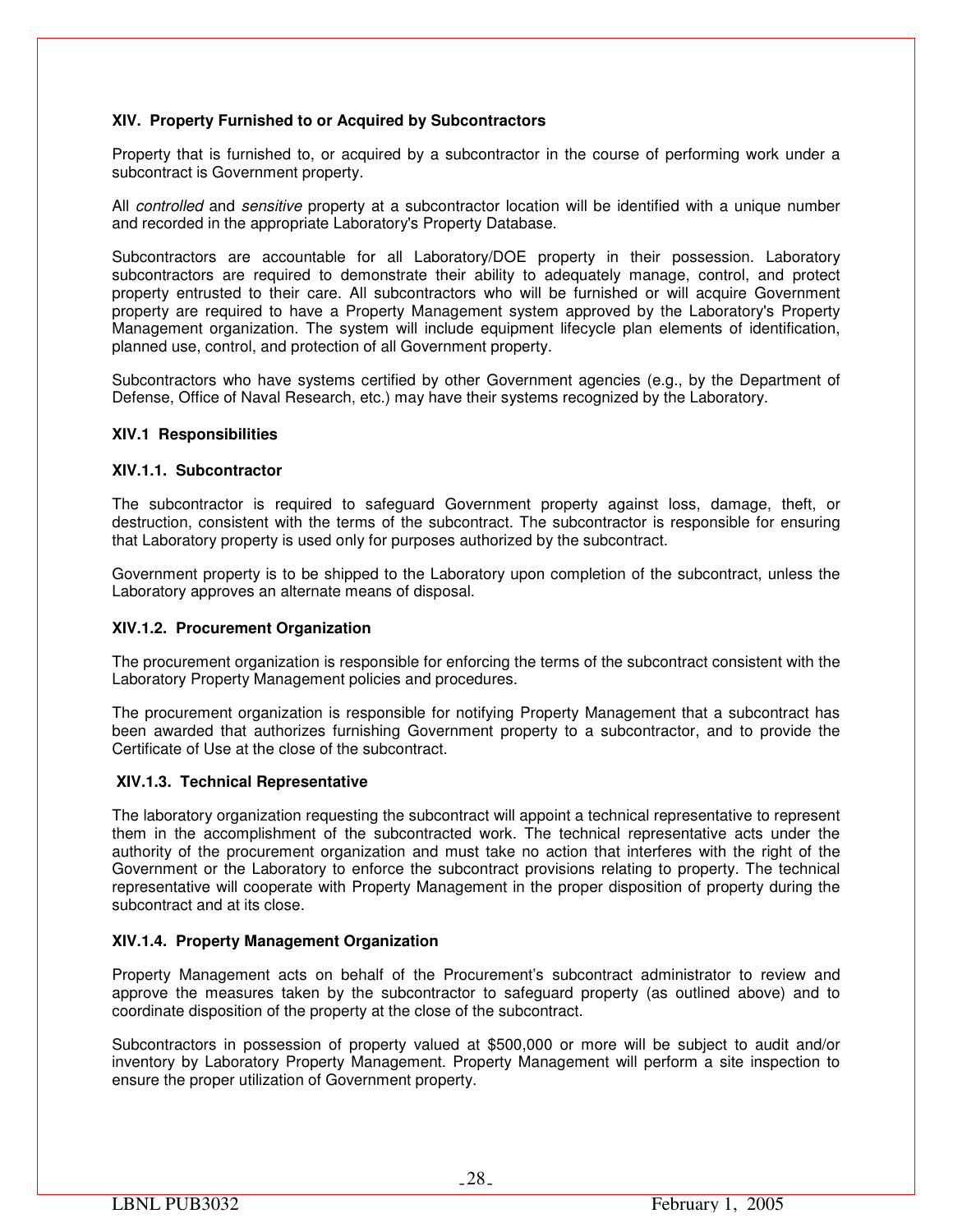## **XIV. Property Furnished to or Acquired by Subcontractors**

Property that is furnished to, or acquired by a subcontractor in the course of performing work under a subcontract is Government property.

All *controlled* and *sensitive* property at a subcontractor location will be identified with a unique number and recorded in the appropriate Laboratory's Property Database.

Subcontractors are accountable for all Laboratory/DOE property in their possession. Laboratory subcontractors are required to demonstrate their ability to adequately manage, control, and protect property entrusted to their care. All subcontractors who will be furnished or will acquire Government property are required to have a Property Management system approved by the Laboratory's Property Management organization. The system will include equipment lifecycle plan elements of identification, planned use, control, and protection of all Government property.

Subcontractors who have systems certified by other Government agencies (e.g., by the Department of Defense, Office of Naval Research, etc.) may have their systems recognized by the Laboratory.

#### **XIV.1 Responsibilities**

#### **XIV.1.1. Subcontractor**

The subcontractor is required to safeguard Government property against loss, damage, theft, or destruction, consistent with the terms of the subcontract. The subcontractor is responsible for ensuring that Laboratory property is used only for purposes authorized by the subcontract.

Government property is to be shipped to the Laboratory upon completion of the subcontract, unless the Laboratory approves an alternate means of disposal.

## **XIV.1.2. Procurement Organization**

The procurement organization is responsible for enforcing the terms of the subcontract consistent with the Laboratory Property Management policies and procedures.

The procurement organization is responsible for notifying Property Management that a subcontract has been awarded that authorizes furnishing Government property to a subcontractor, and to provide the Certificate of Use at the close of the subcontract.

## **XIV.1.3. Technical Representative**

The laboratory organization requesting the subcontract will appoint a technical representative to represent them in the accomplishment of the subcontracted work. The technical representative acts under the authority of the procurement organization and must take no action that interferes with the right of the Government or the Laboratory to enforce the subcontract provisions relating to property. The technical representative will cooperate with Property Management in the proper disposition of property during the subcontract and at its close.

## **XIV.1.4. Property Management Organization**

Property Management acts on behalf of the Procurement's subcontract administrator to review and approve the measures taken by the subcontractor to safeguard property (as outlined above) and to coordinate disposition of the property at the close of the subcontract.

Subcontractors in possession of property valued at \$500,000 or more will be subject to audit and/or inventory by Laboratory Property Management. Property Management will perform a site inspection to ensure the proper utilization of Government property.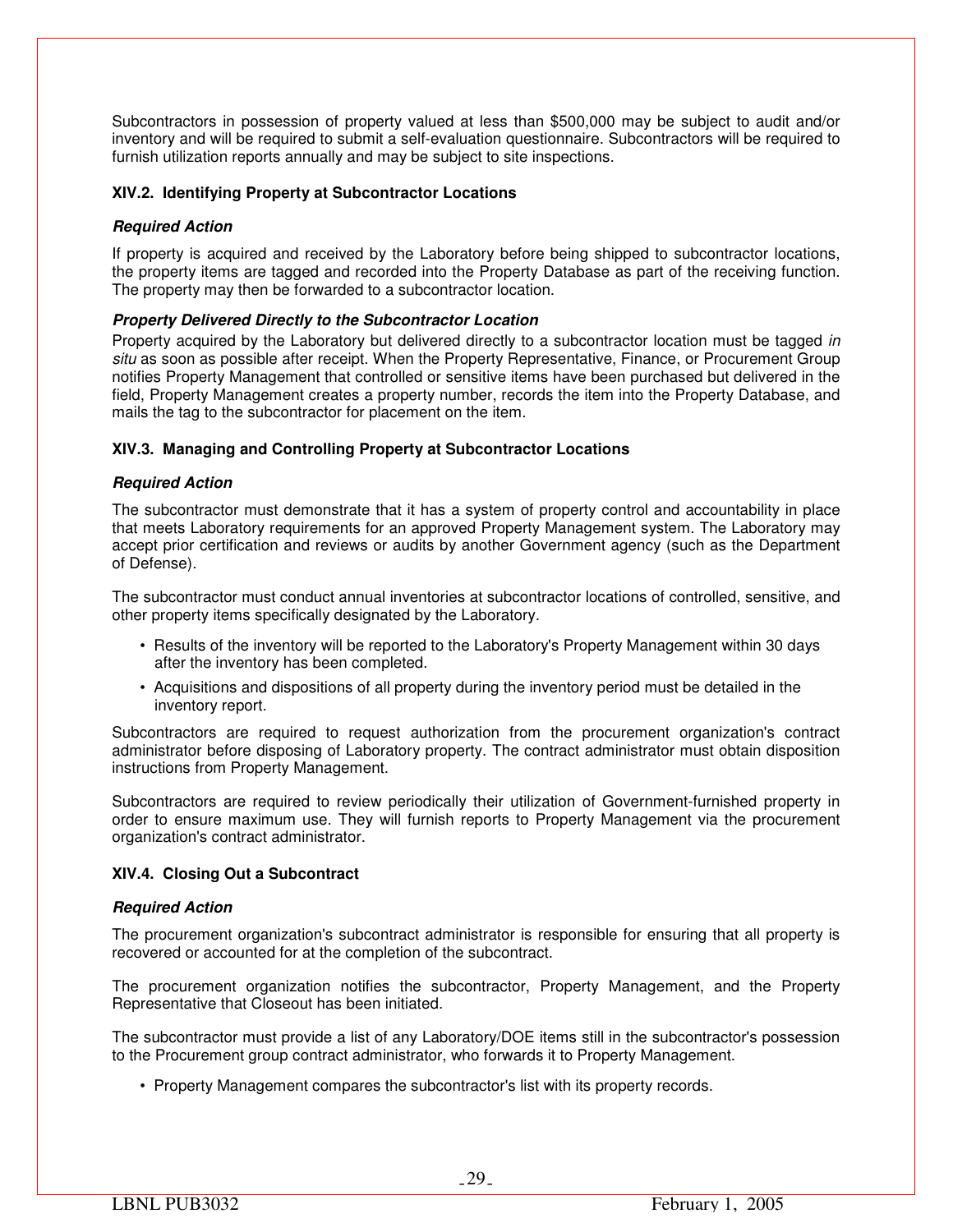Subcontractors in possession of property valued at less than \$500,000 may be subject to audit and/or inventory and will be required to submit a self-evaluation questionnaire. Subcontractors will be required to furnish utilization reports annually and may be subject to site inspections.

## **XIV.2. Identifying Property at Subcontractor Locations**

## *Required Action*

If property is acquired and received by the Laboratory before being shipped to subcontractor locations, the property items are tagged and recorded into the Property Database as part of the receiving function. The property may then be forwarded to a subcontractor location.

## *Property Delivered Directly to the Subcontractor Location*

Property acquired by the Laboratory but delivered directly to a subcontractor location must be tagged *in situ* as soon as possible after receipt. When the Property Representative, Finance, or Procurement Group notifies Property Management that controlled or sensitive items have been purchased but delivered in the field, Property Management creates a property number, records the item into the Property Database, and mails the tag to the subcontractor for placement on the item.

## **XIV.3. Managing and Controlling Property at Subcontractor Locations**

## *Required Action*

The subcontractor must demonstrate that it has a system of property control and accountability in place that meets Laboratory requirements for an approved Property Management system. The Laboratory may accept prior certification and reviews or audits by another Government agency (such as the Department of Defense).

The subcontractor must conduct annual inventories at subcontractor locations of controlled, sensitive, and other property items specifically designated by the Laboratory.

- Results of the inventory will be reported to the Laboratory's Property Management within 30 days after the inventory has been completed.
- Acquisitions and dispositions of all property during the inventory period must be detailed in the inventory report.

Subcontractors are required to request authorization from the procurement organization's contract administrator before disposing of Laboratory property. The contract administrator must obtain disposition instructions from Property Management.

Subcontractors are required to review periodically their utilization of Government-furnished property in order to ensure maximum use. They will furnish reports to Property Management via the procurement organization's contract administrator.

## **XIV.4. Closing Out a Subcontract**

## *Required Action*

The procurement organization's subcontract administrator is responsible for ensuring that all property is recovered or accounted for at the completion of the subcontract.

The procurement organization notifies the subcontractor, Property Management, and the Property Representative that Closeout has been initiated.

The subcontractor must provide a list of any Laboratory/DOE items still in the subcontractor's possession to the Procurement group contract administrator, who forwards it to Property Management.

• Property Management compares the subcontractor's list with its property records.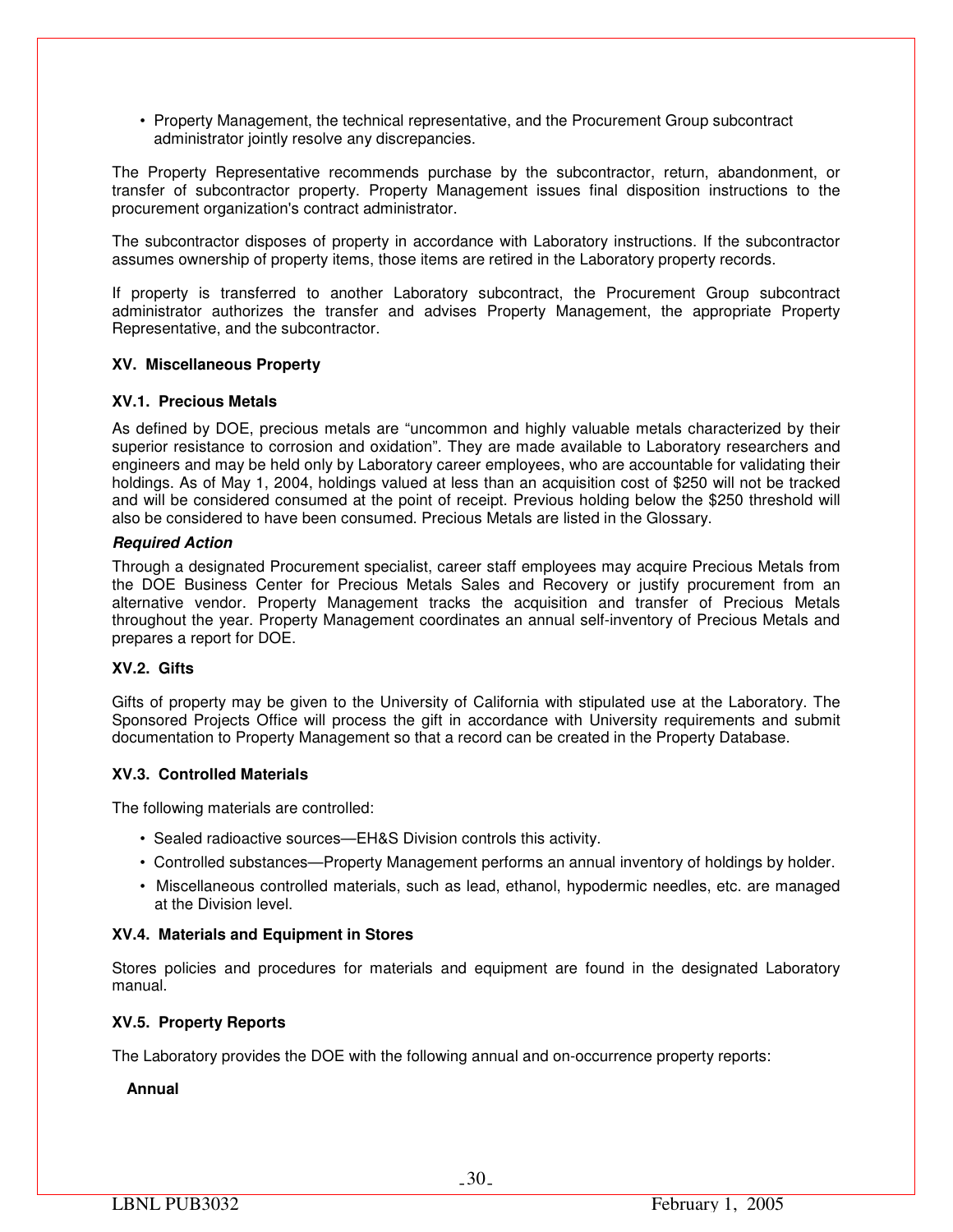• Property Management, the technical representative, and the Procurement Group subcontract administrator jointly resolve any discrepancies.

The Property Representative recommends purchase by the subcontractor, return, abandonment, or transfer of subcontractor property. Property Management issues final disposition instructions to the procurement organization's contract administrator.

The subcontractor disposes of property in accordance with Laboratory instructions. If the subcontractor assumes ownership of property items, those items are retired in the Laboratory property records.

If property is transferred to another Laboratory subcontract, the Procurement Group subcontract administrator authorizes the transfer and advises Property Management, the appropriate Property Representative, and the subcontractor.

## **XV. Miscellaneous Property**

## **XV.1. Precious Metals**

As defined by DOE, precious metals are "uncommon and highly valuable metals characterized by their superior resistance to corrosion and oxidation". They are made available to Laboratory researchers and engineers and may be held only by Laboratory career employees, who are accountable for validating their holdings. As of May 1, 2004, holdings valued at less than an acquisition cost of \$250 will not be tracked and will be considered consumed at the point of receipt. Previous holding below the \$250 threshold will also be considered to have been consumed. Precious Metals are listed in the Glossary.

## *Required Action*

Through a designated Procurement specialist, career staff employees may acquire Precious Metals from the DOE Business Center for Precious Metals Sales and Recovery or justify procurement from an alternative vendor. Property Management tracks the acquisition and transfer of Precious Metals throughout the year. Property Management coordinates an annual self-inventory of Precious Metals and prepares a report for DOE.

## **XV.2. Gifts**

Gifts of property may be given to the University of California with stipulated use at the Laboratory. The Sponsored Projects Office will process the gift in accordance with University requirements and submit documentation to Property Management so that a record can be created in the Property Database.

## **XV.3. Controlled Materials**

The following materials are controlled:

- Sealed radioactive sources—EH&S Division controls this activity.
- Controlled substances—Property Management performs an annual inventory of holdings by holder.
- Miscellaneous controlled materials, such as lead, ethanol, hypodermic needles, etc. are managed at the Division level.

## **XV.4. Materials and Equipment in Stores**

Stores policies and procedures for materials and equipment are found in the designated Laboratory manual.

## **XV.5. Property Reports**

The Laboratory provides the DOE with the following annual and on-occurrence property reports:

## **Annual**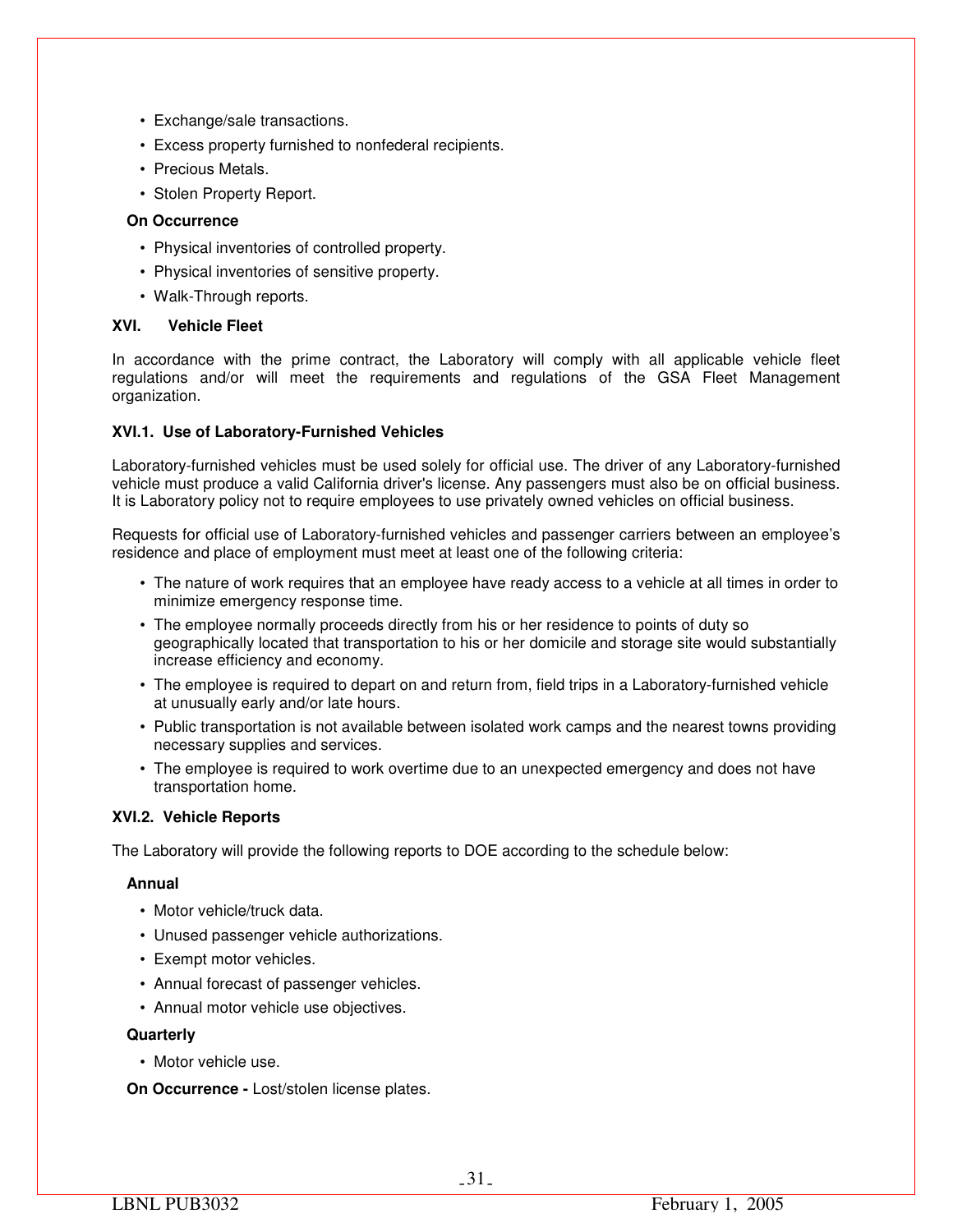- Exchange/sale transactions.
- Excess property furnished to nonfederal recipients.
- Precious Metals.
- Stolen Property Report.

## **On Occurrence**

- Physical inventories of controlled property.
- Physical inventories of sensitive property.
- Walk-Through reports.

## **XVI. Vehicle Fleet**

In accordance with the prime contract, the Laboratory will comply with all applicable vehicle fleet regulations and/or will meet the requirements and regulations of the GSA Fleet Management organization.

## **XVI.1. Use of Laboratory-Furnished Vehicles**

Laboratory-furnished vehicles must be used solely for official use. The driver of any Laboratory-furnished vehicle must produce a valid California driver's license. Any passengers must also be on official business. It is Laboratory policy not to require employees to use privately owned vehicles on official business.

Requests for official use of Laboratory-furnished vehicles and passenger carriers between an employee's residence and place of employment must meet at least one of the following criteria:

- The nature of work requires that an employee have ready access to a vehicle at all times in order to minimize emergency response time.
- The employee normally proceeds directly from his or her residence to points of duty so geographically located that transportation to his or her domicile and storage site would substantially increase efficiency and economy.
- The employee is required to depart on and return from, field trips in a Laboratory-furnished vehicle at unusually early and/or late hours.
- Public transportation is not available between isolated work camps and the nearest towns providing necessary supplies and services.
- The employee is required to work overtime due to an unexpected emergency and does not have transportation home.

## **XVI.2. Vehicle Reports**

The Laboratory will provide the following reports to DOE according to the schedule below:

## **Annual**

- Motor vehicle/truck data.
- Unused passenger vehicle authorizations.
- Exempt motor vehicles.
- Annual forecast of passenger vehicles.
- Annual motor vehicle use objectives.

## **Quarterly**

• Motor vehicle use.

**On Occurrence -** Lost/stolen license plates.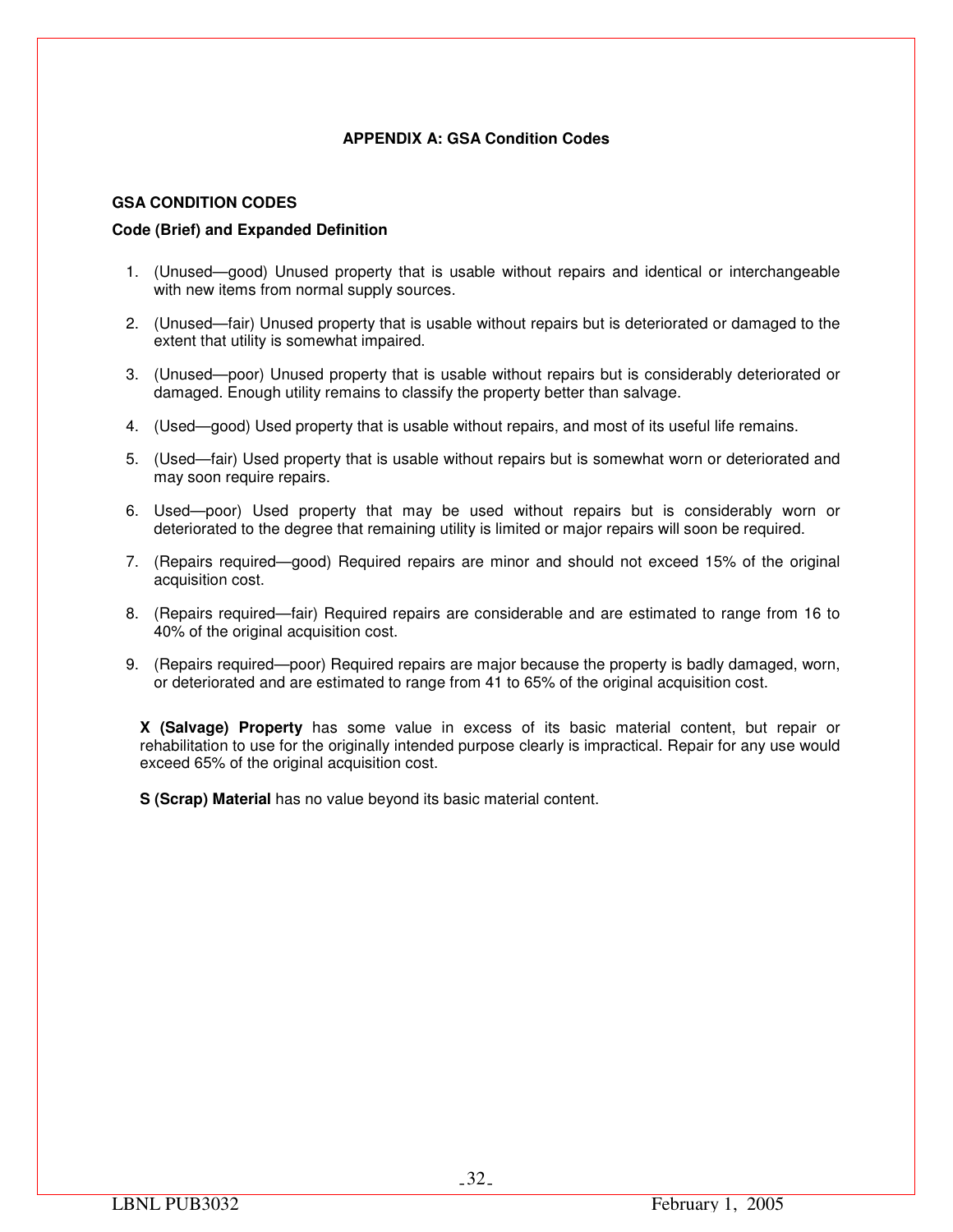## **APPENDIX A: GSA Condition Codes**

## **GSA CONDITION CODES**

## **Code (Brief) and Expanded Definition**

- 1. (Unused—good) Unused property that is usable without repairs and identical or interchangeable with new items from normal supply sources.
- 2. (Unused—fair) Unused property that is usable without repairs but is deteriorated or damaged to the extent that utility is somewhat impaired.
- 3. (Unused—poor) Unused property that is usable without repairs but is considerably deteriorated or damaged. Enough utility remains to classify the property better than salvage.
- 4. (Used—good) Used property that is usable without repairs, and most of its useful life remains.
- 5. (Used—fair) Used property that is usable without repairs but is somewhat worn or deteriorated and may soon require repairs.
- 6. Used—poor) Used property that may be used without repairs but is considerably worn or deteriorated to the degree that remaining utility is limited or major repairs will soon be required.
- 7. (Repairs required—good) Required repairs are minor and should not exceed 15% of the original acquisition cost.
- 8. (Repairs required—fair) Required repairs are considerable and are estimated to range from 16 to 40% of the original acquisition cost.
- 9. (Repairs required—poor) Required repairs are major because the property is badly damaged, worn, or deteriorated and are estimated to range from 41 to 65% of the original acquisition cost.

**X (Salvage) Property** has some value in excess of its basic material content, but repair or rehabilitation to use for the originally intended purpose clearly is impractical. Repair for any use would exceed 65% of the original acquisition cost.

**S (Scrap) Material** has no value beyond its basic material content.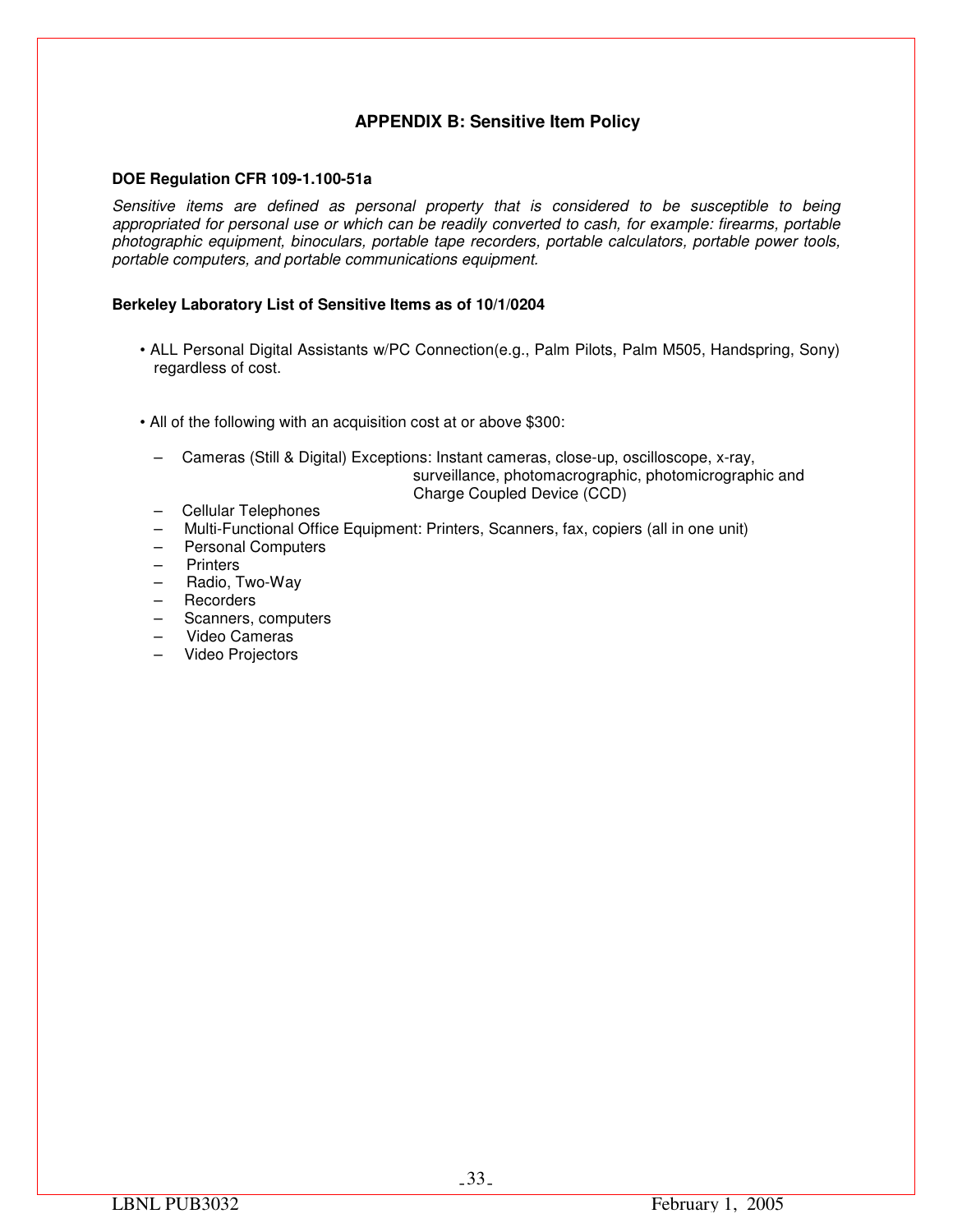## **APPENDIX B: Sensitive Item Policy**

## **DOE Regulation CFR 109-1.100-51a**

*Sensitive items are defined as personal property that is considered to be susceptible to being appropriated for personal use or which can be readily converted to cash, for example: firearms, portable photographic equipment, binoculars, portable tape recorders, portable calculators, portable power tools, portable computers, and portable communications equipment.* 

## **Berkeley Laboratory List of Sensitive Items as of 10/1/0204**

- ALL Personal Digital Assistants w/PC Connection(e.g., Palm Pilots, Palm M505, Handspring, Sony) regardless of cost.
- All of the following with an acquisition cost at or above \$300:
	- Cameras (Still & Digital) Exceptions: Instant cameras, close-up, oscilloscope, x-ray, surveillance, photomacrographic, photomicrographic and Charge Coupled Device (CCD)
	- Cellular Telephones
	- Multi-Functional Office Equipment: Printers, Scanners, fax, copiers (all in one unit)
	- Personal Computers
	- Printers
	- Radio, Two-Way
	- Recorders
	- Scanners, computers
	- Video Cameras
	- Video Projectors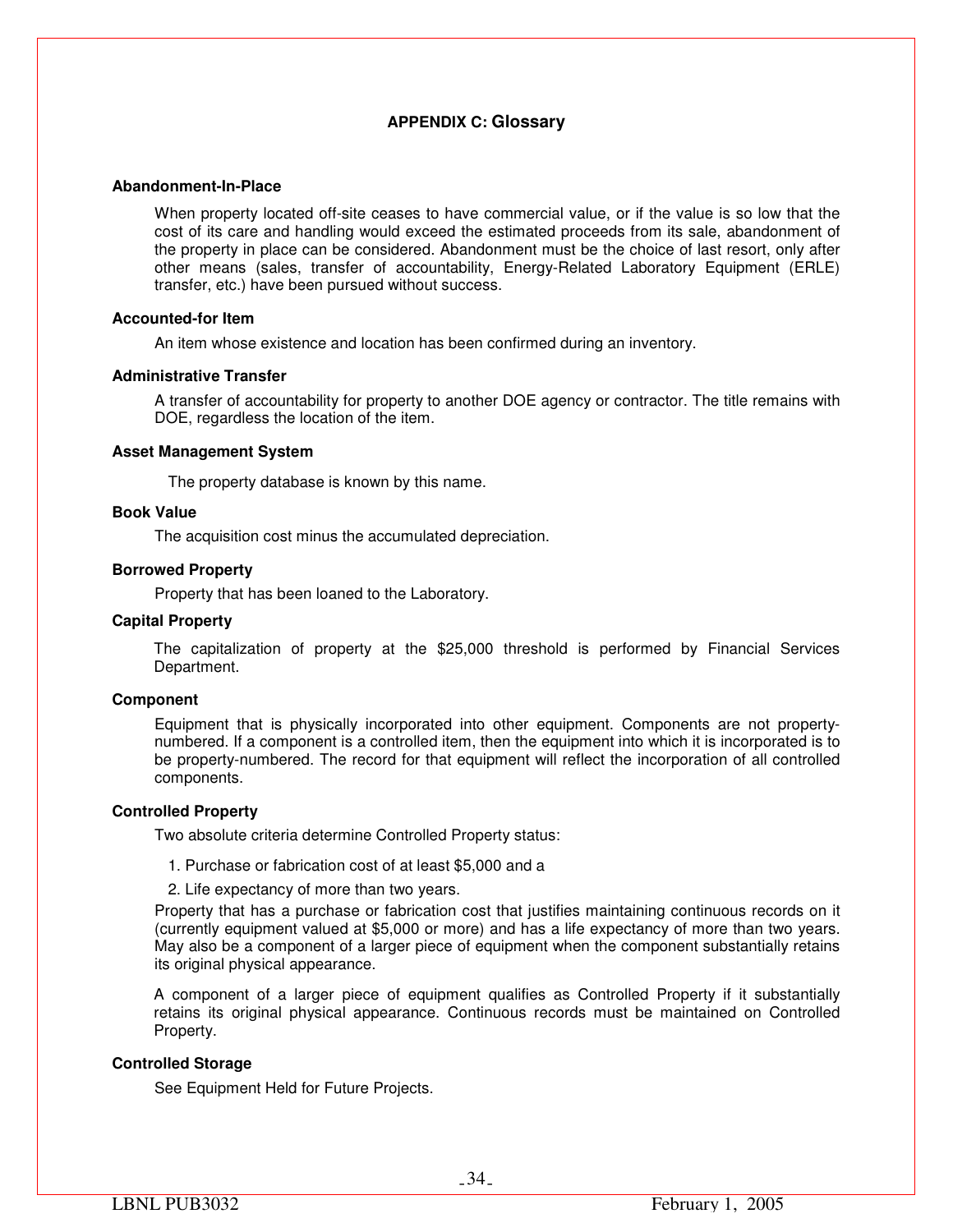## **APPENDIX C: Glossary**

#### **Abandonment-In-Place**

When property located off-site ceases to have commercial value, or if the value is so low that the cost of its care and handling would exceed the estimated proceeds from its sale, abandonment of the property in place can be considered. Abandonment must be the choice of last resort, only after other means (sales, transfer of accountability, Energy-Related Laboratory Equipment (ERLE) transfer, etc.) have been pursued without success.

## **Accounted-for Item**

An item whose existence and location has been confirmed during an inventory.

## **Administrative Transfer**

A transfer of accountability for property to another DOE agency or contractor. The title remains with DOE, regardless the location of the item.

#### **Asset Management System**

The property database is known by this name.

## **Book Value**

The acquisition cost minus the accumulated depreciation.

#### **Borrowed Property**

Property that has been loaned to the Laboratory.

#### **Capital Property**

The capitalization of property at the \$25,000 threshold is performed by Financial Services Department.

## **Component**

Equipment that is physically incorporated into other equipment. Components are not propertynumbered. If a component is a controlled item, then the equipment into which it is incorporated is to be property-numbered. The record for that equipment will reflect the incorporation of all controlled components.

## **Controlled Property**

Two absolute criteria determine Controlled Property status:

1. Purchase or fabrication cost of at least \$5,000 and a

2. Life expectancy of more than two years.

Property that has a purchase or fabrication cost that justifies maintaining continuous records on it (currently equipment valued at \$5,000 or more) and has a life expectancy of more than two years. May also be a component of a larger piece of equipment when the component substantially retains its original physical appearance.

A component of a larger piece of equipment qualifies as Controlled Property if it substantially retains its original physical appearance. Continuous records must be maintained on Controlled Property.

## **Controlled Storage**

See Equipment Held for Future Projects.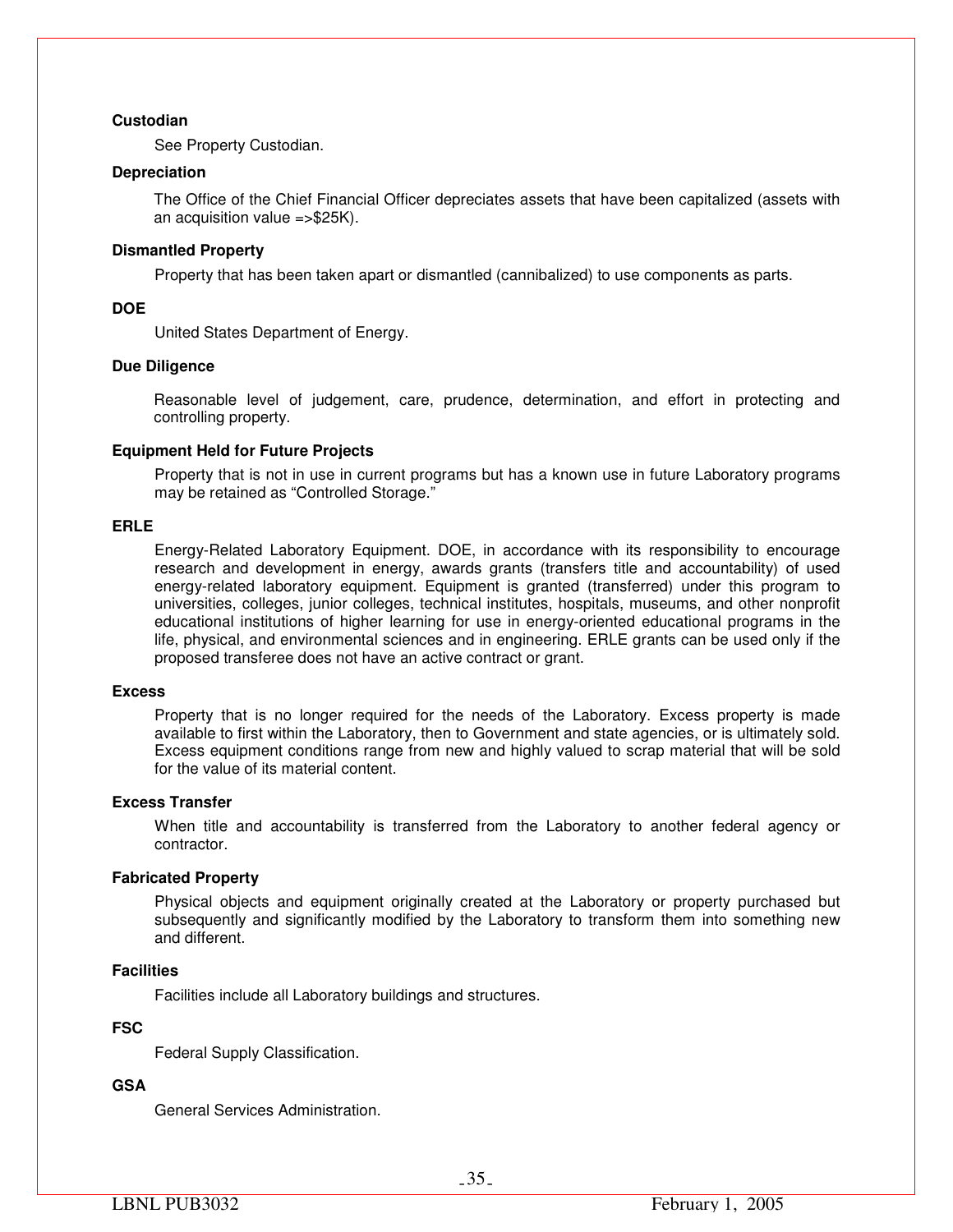## **Custodian**

See Property Custodian.

## **Depreciation**

The Office of the Chief Financial Officer depreciates assets that have been capitalized (assets with an acquisition value =>\$25K).

## **Dismantled Property**

Property that has been taken apart or dismantled (cannibalized) to use components as parts.

## **DOE**

United States Department of Energy.

## **Due Diligence**

Reasonable level of judgement, care, prudence, determination, and effort in protecting and controlling property.

## **Equipment Held for Future Projects**

Property that is not in use in current programs but has a known use in future Laboratory programs may be retained as "Controlled Storage."

## **ERLE**

Energy-Related Laboratory Equipment. DOE, in accordance with its responsibility to encourage research and development in energy, awards grants (transfers title and accountability) of used energy-related laboratory equipment. Equipment is granted (transferred) under this program to universities, colleges, junior colleges, technical institutes, hospitals, museums, and other nonprofit educational institutions of higher learning for use in energy-oriented educational programs in the life, physical, and environmental sciences and in engineering. ERLE grants can be used only if the proposed transferee does not have an active contract or grant.

## **Excess**

Property that is no longer required for the needs of the Laboratory. Excess property is made available to first within the Laboratory, then to Government and state agencies, or is ultimately sold. Excess equipment conditions range from new and highly valued to scrap material that will be sold for the value of its material content.

## **Excess Transfer**

When title and accountability is transferred from the Laboratory to another federal agency or contractor.

## **Fabricated Property**

Physical objects and equipment originally created at the Laboratory or property purchased but subsequently and significantly modified by the Laboratory to transform them into something new and different.

## **Facilities**

Facilities include all Laboratory buildings and structures.

## **FSC**

Federal Supply Classification.

## **GSA**

General Services Administration.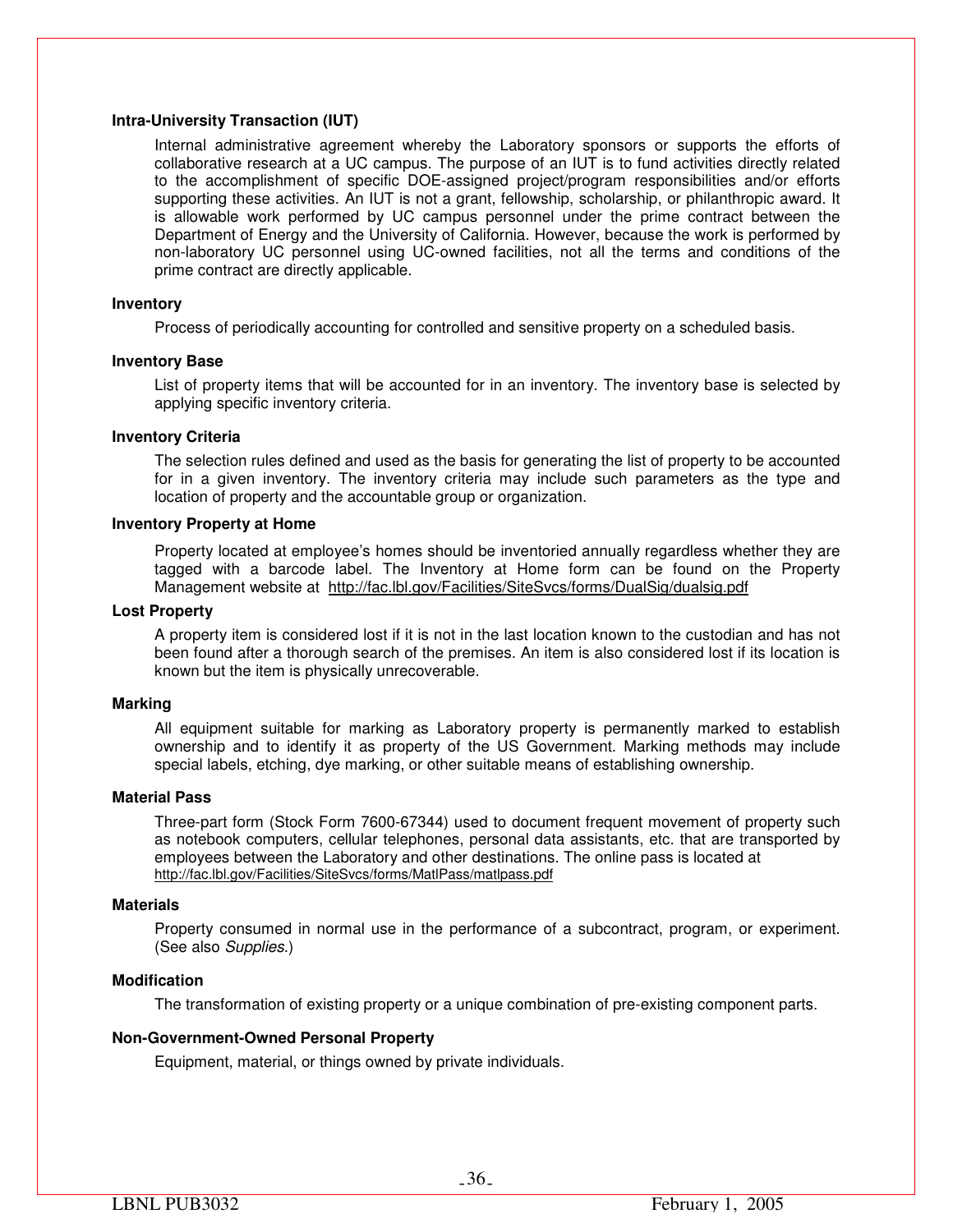## **Intra-University Transaction (IUT)**

Internal administrative agreement whereby the Laboratory sponsors or supports the efforts of collaborative research at a UC campus. The purpose of an IUT is to fund activities directly related to the accomplishment of specific DOE-assigned project/program responsibilities and/or efforts supporting these activities. An IUT is not a grant, fellowship, scholarship, or philanthropic award. It is allowable work performed by UC campus personnel under the prime contract between the Department of Energy and the University of California. However, because the work is performed by non-laboratory UC personnel using UC-owned facilities, not all the terms and conditions of the prime contract are directly applicable.

#### **Inventory**

Process of periodically accounting for controlled and sensitive property on a scheduled basis.

#### **Inventory Base**

List of property items that will be accounted for in an inventory. The inventory base is selected by applying specific inventory criteria.

#### **Inventory Criteria**

The selection rules defined and used as the basis for generating the list of property to be accounted for in a given inventory. The inventory criteria may include such parameters as the type and location of property and the accountable group or organization.

## **Inventory Property at Home**

Property located at employee's homes should be inventoried annually regardless whether they are tagged with a barcode label. The Inventory at Home form can be found on the Property Management website at http://fac.lbl.gov/Facilities/SiteSvcs/forms/DualSig/dualsig.pdf

#### **Lost Property**

A property item is considered lost if it is not in the last location known to the custodian and has not been found after a thorough search of the premises. An item is also considered lost if its location is known but the item is physically unrecoverable.

#### **Marking**

All equipment suitable for marking as Laboratory property is permanently marked to establish ownership and to identify it as property of the US Government. Marking methods may include special labels, etching, dye marking, or other suitable means of establishing ownership.

#### **Material Pass**

Three-part form (Stock Form 7600-67344) used to document frequent movement of property such as notebook computers, cellular telephones, personal data assistants, etc. that are transported by employees between the Laboratory and other destinations. The online pass is located at http://fac.lbl.gov/Facilities/SiteSvcs/forms/MatlPass/matlpass.pdf

#### **Materials**

Property consumed in normal use in the performance of a subcontract, program, or experiment. (See also *Supplies*.)

## **Modification**

The transformation of existing property or a unique combination of pre-existing component parts.

## **Non-Government-Owned Personal Property**

Equipment, material, or things owned by private individuals.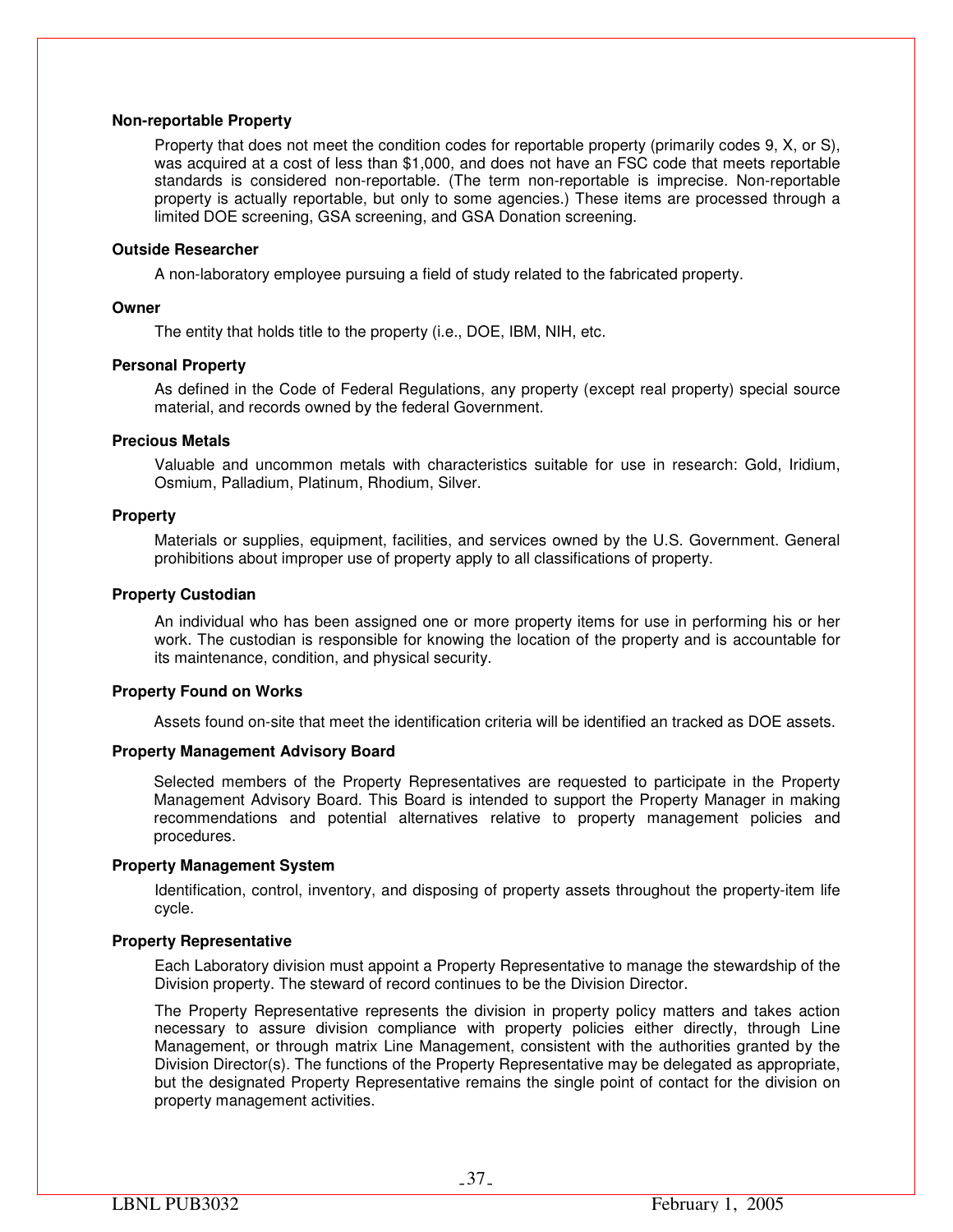## **Non-reportable Property**

Property that does not meet the condition codes for reportable property (primarily codes 9, X, or S), was acquired at a cost of less than \$1,000, and does not have an FSC code that meets reportable standards is considered non-reportable. (The term non-reportable is imprecise. Non-reportable property is actually reportable, but only to some agencies.) These items are processed through a limited DOE screening, GSA screening, and GSA Donation screening.

#### **Outside Researcher**

A non-laboratory employee pursuing a field of study related to the fabricated property.

## **Owner**

The entity that holds title to the property (i.e., DOE, IBM, NIH, etc.

#### **Personal Property**

As defined in the Code of Federal Regulations, any property (except real property) special source material, and records owned by the federal Government.

#### **Precious Metals**

Valuable and uncommon metals with characteristics suitable for use in research: Gold, Iridium, Osmium, Palladium, Platinum, Rhodium, Silver.

#### **Property**

Materials or supplies, equipment, facilities, and services owned by the U.S. Government. General prohibitions about improper use of property apply to all classifications of property.

#### **Property Custodian**

An individual who has been assigned one or more property items for use in performing his or her work. The custodian is responsible for knowing the location of the property and is accountable for its maintenance, condition, and physical security.

## **Property Found on Works**

Assets found on-site that meet the identification criteria will be identified an tracked as DOE assets.

## **Property Management Advisory Board**

Selected members of the Property Representatives are requested to participate in the Property Management Advisory Board. This Board is intended to support the Property Manager in making recommendations and potential alternatives relative to property management policies and procedures.

## **Property Management System**

Identification, control, inventory, and disposing of property assets throughout the property-item life cycle.

## **Property Representative**

Each Laboratory division must appoint a Property Representative to manage the stewardship of the Division property. The steward of record continues to be the Division Director.

The Property Representative represents the division in property policy matters and takes action necessary to assure division compliance with property policies either directly, through Line Management, or through matrix Line Management, consistent with the authorities granted by the Division Director(s). The functions of the Property Representative may be delegated as appropriate, but the designated Property Representative remains the single point of contact for the division on property management activities.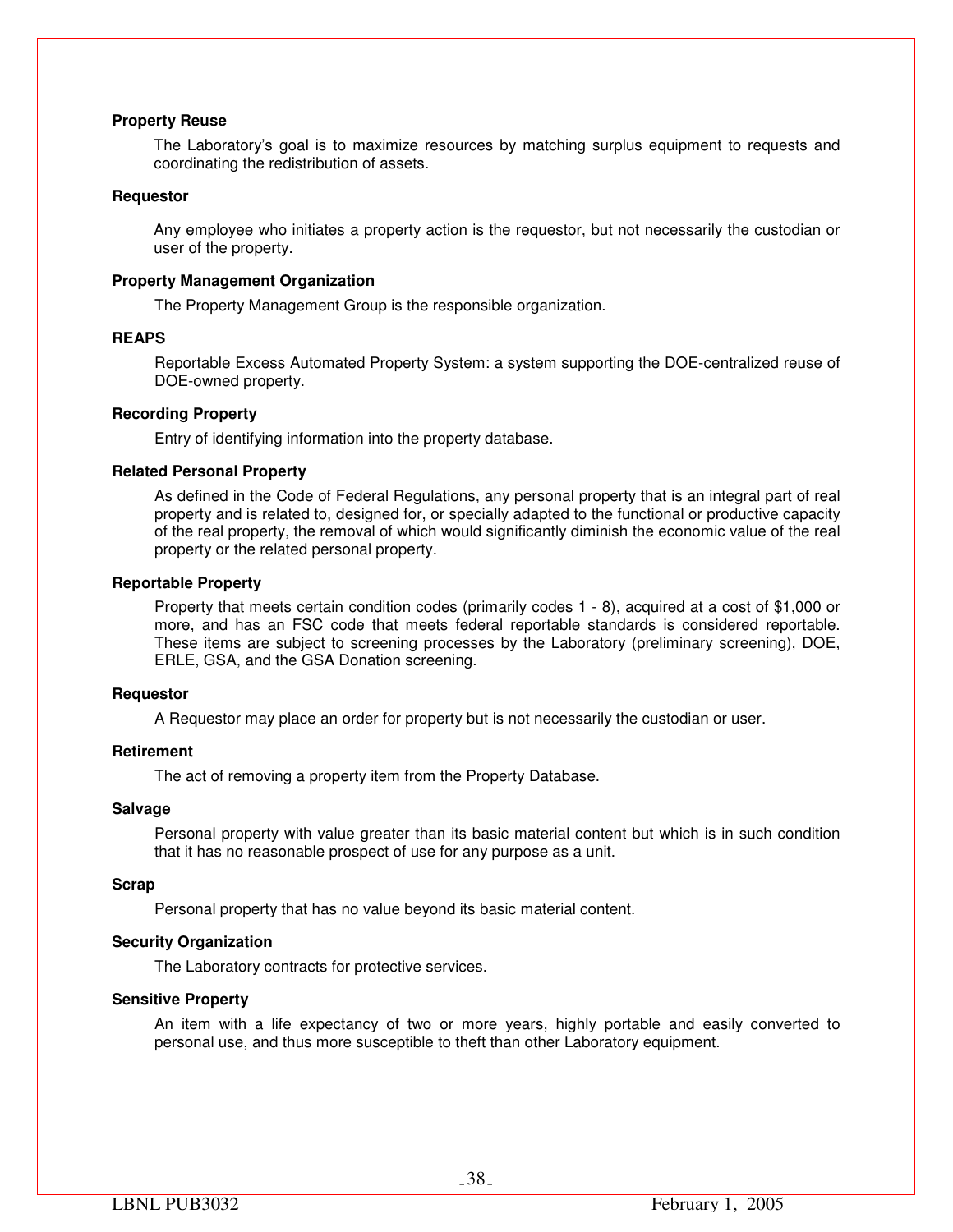## **Property Reuse**

The Laboratory's goal is to maximize resources by matching surplus equipment to requests and coordinating the redistribution of assets.

## **Requestor**

Any employee who initiates a property action is the requestor, but not necessarily the custodian or user of the property.

#### **Property Management Organization**

The Property Management Group is the responsible organization.

#### **REAPS**

Reportable Excess Automated Property System: a system supporting the DOE-centralized reuse of DOE-owned property.

## **Recording Property**

Entry of identifying information into the property database.

#### **Related Personal Property**

As defined in the Code of Federal Regulations, any personal property that is an integral part of real property and is related to, designed for, or specially adapted to the functional or productive capacity of the real property, the removal of which would significantly diminish the economic value of the real property or the related personal property.

#### **Reportable Property**

Property that meets certain condition codes (primarily codes 1 - 8), acquired at a cost of \$1,000 or more, and has an FSC code that meets federal reportable standards is considered reportable. These items are subject to screening processes by the Laboratory (preliminary screening), DOE, ERLE, GSA, and the GSA Donation screening.

#### **Requestor**

A Requestor may place an order for property but is not necessarily the custodian or user.

## **Retirement**

The act of removing a property item from the Property Database.

#### **Salvage**

Personal property with value greater than its basic material content but which is in such condition that it has no reasonable prospect of use for any purpose as a unit.

#### **Scrap**

Personal property that has no value beyond its basic material content.

## **Security Organization**

The Laboratory contracts for protective services.

## **Sensitive Property**

An item with a life expectancy of two or more years, highly portable and easily converted to personal use, and thus more susceptible to theft than other Laboratory equipment.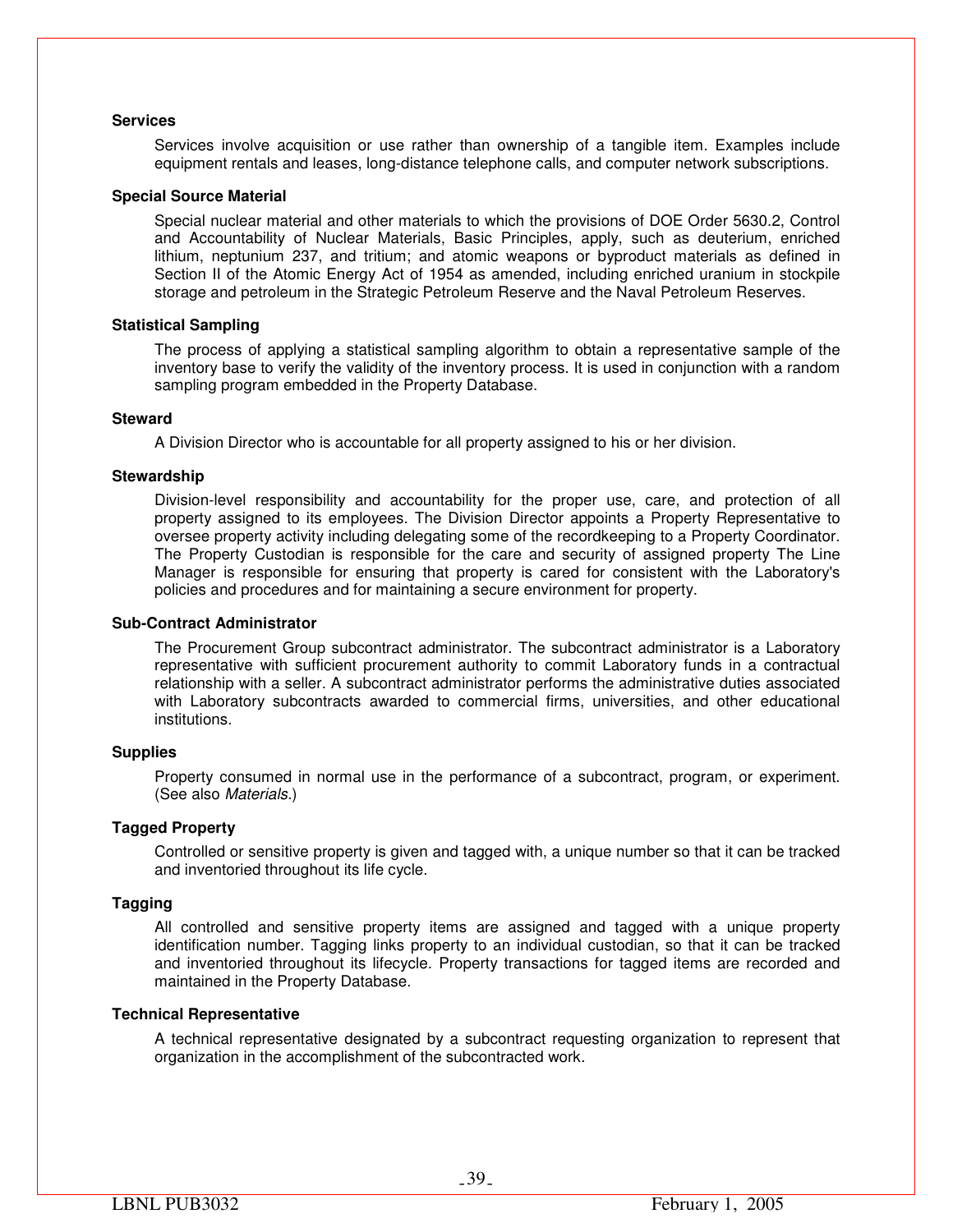## **Services**

Services involve acquisition or use rather than ownership of a tangible item. Examples include equipment rentals and leases, long-distance telephone calls, and computer network subscriptions.

#### **Special Source Material**

Special nuclear material and other materials to which the provisions of DOE Order 5630.2, Control and Accountability of Nuclear Materials, Basic Principles, apply, such as deuterium, enriched lithium, neptunium 237, and tritium; and atomic weapons or byproduct materials as defined in Section II of the Atomic Energy Act of 1954 as amended, including enriched uranium in stockpile storage and petroleum in the Strategic Petroleum Reserve and the Naval Petroleum Reserves.

#### **Statistical Sampling**

The process of applying a statistical sampling algorithm to obtain a representative sample of the inventory base to verify the validity of the inventory process. It is used in conjunction with a random sampling program embedded in the Property Database.

#### **Steward**

A Division Director who is accountable for all property assigned to his or her division.

#### **Stewardship**

Division-level responsibility and accountability for the proper use, care, and protection of all property assigned to its employees. The Division Director appoints a Property Representative to oversee property activity including delegating some of the recordkeeping to a Property Coordinator. The Property Custodian is responsible for the care and security of assigned property The Line Manager is responsible for ensuring that property is cared for consistent with the Laboratory's policies and procedures and for maintaining a secure environment for property.

#### **Sub-Contract Administrator**

The Procurement Group subcontract administrator. The subcontract administrator is a Laboratory representative with sufficient procurement authority to commit Laboratory funds in a contractual relationship with a seller. A subcontract administrator performs the administrative duties associated with Laboratory subcontracts awarded to commercial firms, universities, and other educational institutions.

## **Supplies**

Property consumed in normal use in the performance of a subcontract, program, or experiment. (See also *Materials.*)

## **Tagged Property**

Controlled or sensitive property is given and tagged with, a unique number so that it can be tracked and inventoried throughout its life cycle.

## **Tagging**

All controlled and sensitive property items are assigned and tagged with a unique property identification number. Tagging links property to an individual custodian, so that it can be tracked and inventoried throughout its lifecycle. Property transactions for tagged items are recorded and maintained in the Property Database.

#### **Technical Representative**

A technical representative designated by a subcontract requesting organization to represent that organization in the accomplishment of the subcontracted work.